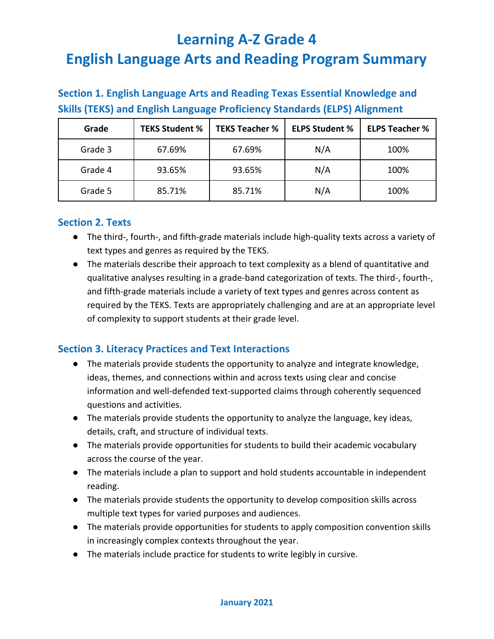| Section 1. English Language Arts and Reading Texas Essential Knowledge and       |  |  |  |  |  |  |  |  |
|----------------------------------------------------------------------------------|--|--|--|--|--|--|--|--|
| <b>Skills (TEKS) and English Language Proficiency Standards (ELPS) Alignment</b> |  |  |  |  |  |  |  |  |
|                                                                                  |  |  |  |  |  |  |  |  |

**Section 1. English Language Arts and Reading Texas Essential Knowledge and** 

| Grade   | <b>TEKS Student %</b> | <b>TEKS Teacher %</b> | <b>ELPS Student %</b> | <b>ELPS Teacher %</b> |
|---------|-----------------------|-----------------------|-----------------------|-----------------------|
| Grade 3 | 67.69%                | 67.69%                | N/A                   | 100%                  |
| Grade 4 | 93.65%                | 93.65%                | N/A                   | 100%                  |
| Grade 5 | 85.71%                | 85.71%                | N/A                   | 100%                  |

#### **Section 2. Texts**

- The third-, fourth-, and fifth-grade materials include high-quality texts across a variety of text types and genres as required by the TEKS.
- The materials describe their approach to text complexity as a blend of quantitative and qualitative analyses resulting in a grade-band categorization of texts. The third-, fourth-, and fifth-grade materials include a variety of text types and genres across content as required by the TEKS. Texts are appropriately challenging and are at an appropriate level of complexity to support students at their grade level.

#### **Section 3. Literacy Practices and Text Interactions**

- The materials provide students the opportunity to analyze and integrate knowledge, ideas, themes, and connections within and across texts using clear and concise information and well-defended text-supported claims through coherently sequenced questions and activities.
- The materials provide students the opportunity to analyze the language, key ideas, details, craft, and structure of individual texts.
- The materials provide opportunities for students to build their academic vocabulary across the course of the year.
- The materials include a plan to support and hold students accountable in independent reading.
- The materials provide students the opportunity to develop composition skills across multiple text types for varied purposes and audiences.
- The materials provide opportunities for students to apply composition convention skills in increasingly complex contexts throughout the year.
- The materials include practice for students to write legibly in cursive.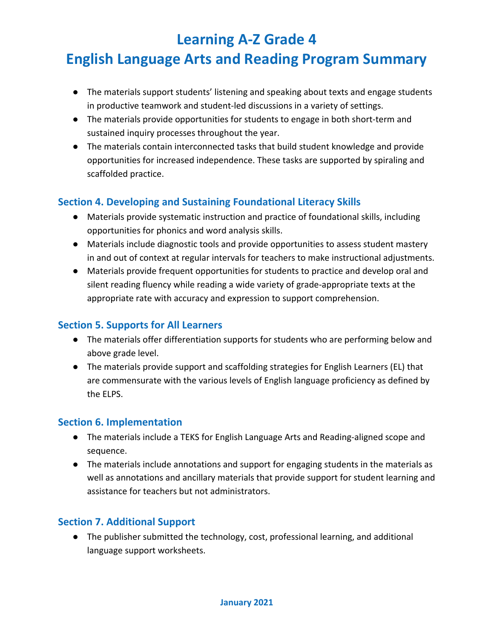- The materials support students' listening and speaking about texts and engage students in productive teamwork and student-led discussions in a variety of settings.
- The materials provide opportunities for students to engage in both short-term and sustained inquiry processes throughout the year.
- The materials contain interconnected tasks that build student knowledge and provide opportunities for increased independence. These tasks are supported by spiraling and scaffolded practice.

#### **Section 4. Developing and Sustaining Foundational Literacy Skills**

- Materials provide systematic instruction and practice of foundational skills, including opportunities for phonics and word analysis skills.
- Materials include diagnostic tools and provide opportunities to assess student mastery in and out of context at regular intervals for teachers to make instructional adjustments.
- Materials provide frequent opportunities for students to practice and develop oral and silent reading fluency while reading a wide variety of grade-appropriate texts at the appropriate rate with accuracy and expression to support comprehension.

#### **Section 5. Supports for All Learners**

- The materials offer differentiation supports for students who are performing below and above grade level.
- The materials provide support and scaffolding strategies for English Learners (EL) that are commensurate with the various levels of English language proficiency as defined by the ELPS.

#### **Section 6. Implementation**

- The materials include a TEKS for English Language Arts and Reading-aligned scope and sequence.
- The materials include annotations and support for engaging students in the materials as well as annotations and ancillary materials that provide support for student learning and assistance for teachers but not administrators.

#### **Section 7. Additional Support**

● The publisher submitted the technology, cost, professional learning, and additional language support worksheets.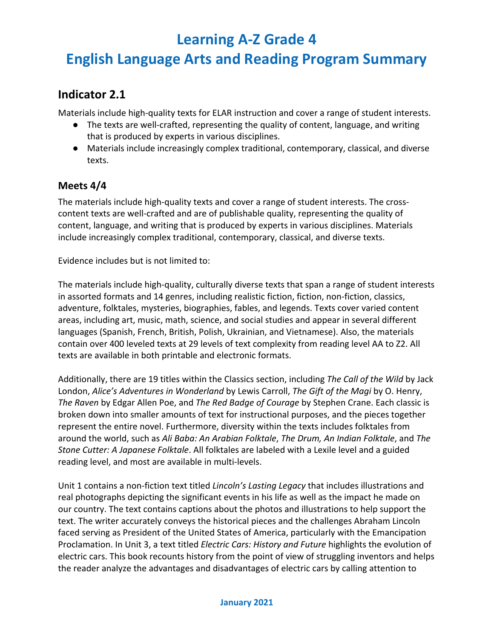## **English Language Arts and Reading Program Summary**

### **Indicator 2.1**

Materials include high-quality texts for ELAR instruction and cover a range of student interests.

- The texts are well-crafted, representing the quality of content, language, and writing that is produced by experts in various disciplines.
- Materials include increasingly complex traditional, contemporary, classical, and diverse texts.

#### **Meets 4/4**

The materials include high-quality texts and cover a range of student interests. The crosscontent texts are well-crafted and are of publishable quality, representing the quality of content, language, and writing that is produced by experts in various disciplines. Materials include increasingly complex traditional, contemporary, classical, and diverse texts.

Evidence includes but is not limited to:

The materials include high-quality, culturally diverse texts that span a range of student interests in assorted formats and 14 genres, including realistic fiction, fiction, non-fiction, classics, adventure, folktales, mysteries, biographies, fables, and legends. Texts cover varied content areas, including art, music, math, science, and social studies and appear in several different languages (Spanish, French, British, Polish, Ukrainian, and Vietnamese). Also, the materials contain over 400 leveled texts at 29 levels of text complexity from reading level AA to Z2. All texts are available in both printable and electronic formats.

Additionally, there are 19 titles within the Classics section, including *The Call of the Wild* by Jack London, *Alice's Adventures in Wonderland* by Lewis Carroll, *The Gift of the Magi* by O. Henry, *The Raven* by Edgar Allen Poe, and *The Red Badge of Courage* by Stephen Crane. Each classic is broken down into smaller amounts of text for instructional purposes, and the pieces together represent the entire novel. Furthermore, diversity within the texts includes folktales from around the world, such as *Ali Baba: An Arabian Folktale*, *The Drum, An Indian Folktale*, and *The Stone Cutter: A Japanese Folktale*. All folktales are labeled with a Lexile level and a guided reading level, and most are available in multi-levels.

Unit 1 contains a non-fiction text titled *Lincoln's Lasting Legacy* that includes illustrations and real photographs depicting the significant events in his life as well as the impact he made on our country. The text contains captions about the photos and illustrations to help support the text. The writer accurately conveys the historical pieces and the challenges Abraham Lincoln faced serving as President of the United States of America, particularly with the Emancipation Proclamation. In Unit 3, a text titled *Electric Cars: History and Future* highlights the evolution of electric cars. This book recounts history from the point of view of struggling inventors and helps the reader analyze the advantages and disadvantages of electric cars by calling attention to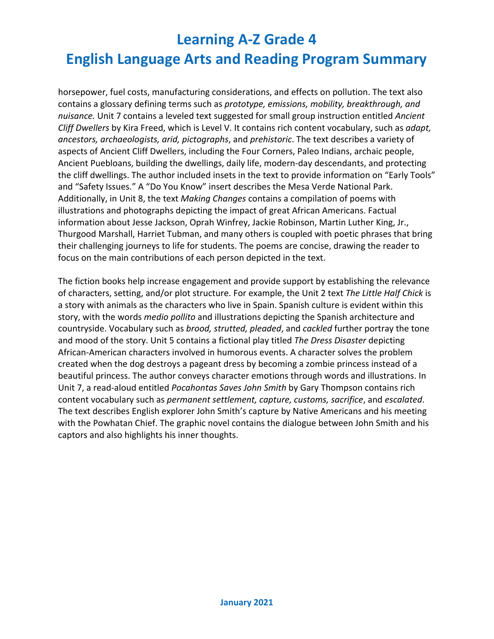horsepower, fuel costs, manufacturing considerations, and effects on pollution. The text also contains a glossary defining terms such as *prototype, emissions, mobility, breakthrough, and nuisance.* Unit 7 contains a leveled text suggested for small group instruction entitled *Ancient Cliff Dwellers* by Kira Freed, which is Level V. It contains rich content vocabulary, such as *adapt, ancestors, archaeologists, arid, pictographs*, and *prehistoric*. The text describes a variety of aspects of Ancient Cliff Dwellers, including the Four Corners, Paleo Indians, archaic people, Ancient Puebloans, building the dwellings, daily life, modern-day descendants, and protecting the cliff dwellings. The author included insets in the text to provide information on "Early Tools" and "Safety Issues." A "Do You Know" insert describes the Mesa Verde National Park. Additionally, in Unit 8, the text *Making Changes* contains a compilation of poems with illustrations and photographs depicting the impact of great African Americans. Factual information about Jesse Jackson, Oprah Winfrey, Jackie Robinson, Martin Luther King, Jr., Thurgood Marshall, Harriet Tubman, and many others is coupled with poetic phrases that bring their challenging journeys to life for students. The poems are concise, drawing the reader to focus on the main contributions of each person depicted in the text.

The fiction books help increase engagement and provide support by establishing the relevance of characters, setting, and/or plot structure. For example, the Unit 2 text *The Little Half Chick* is a story with animals as the characters who live in Spain. Spanish culture is evident within this story, with the words *medio pollito* and illustrations depicting the Spanish architecture and countryside. Vocabulary such as *brood, strutted, pleaded*, and *cackled* further portray the tone and mood of the story. Unit 5 contains a fictional play titled *The Dress Disaster* depicting African-American characters involved in humorous events. A character solves the problem created when the dog destroys a pageant dress by becoming a zombie princess instead of a beautiful princess. The author conveys character emotions through words and illustrations. In Unit 7, a read-aloud entitled *Pocahontas Saves John Smith* by Gary Thompson contains rich content vocabulary such as *permanent settlement, capture, customs, sacrifice*, and *escalated*. The text describes English explorer John Smith's capture by Native Americans and his meeting with the Powhatan Chief. The graphic novel contains the dialogue between John Smith and his captors and also highlights his inner thoughts.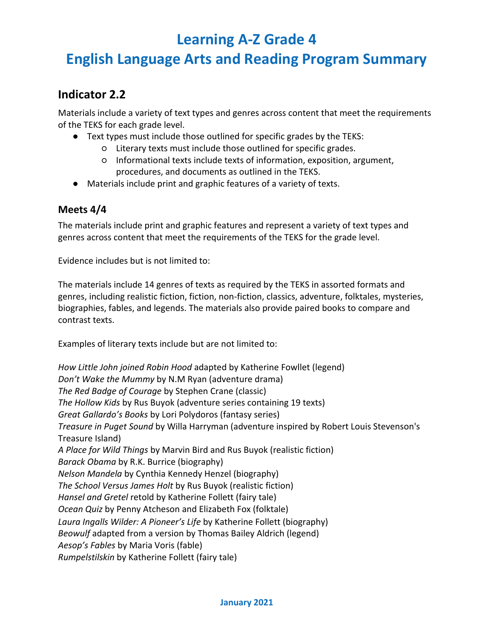## **English Language Arts and Reading Program Summary**

### **Indicator 2.2**

Materials include a variety of text types and genres across content that meet the requirements of the TEKS for each grade level.

- Text types must include those outlined for specific grades by the TEKS:
	- Literary texts must include those outlined for specific grades.
	- Informational texts include texts of information, exposition, argument, procedures, and documents as outlined in the TEKS.
- Materials include print and graphic features of a variety of texts.

#### **Meets 4/4**

The materials include print and graphic features and represent a variety of text types and genres across content that meet the requirements of the TEKS for the grade level.

Evidence includes but is not limited to:

The materials include 14 genres of texts as required by the TEKS in assorted formats and genres, including realistic fiction, fiction, non-fiction, classics, adventure, folktales, mysteries, biographies, fables, and legends. The materials also provide paired books to compare and contrast texts.

Examples of literary texts include but are not limited to:

*How Little John joined Robin Hood* adapted by Katherine Fowllet (legend) *Don't Wake the Mummy* by N.M Ryan (adventure drama) *The Red Badge of Courage* by Stephen Crane (classic) *The Hollow Kids* by Rus Buyok (adventure series containing 19 texts) *Great Gallardo's Books* by Lori Polydoros (fantasy series) *Treasure in Puget Sound* by Willa Harryman (adventure inspired by Robert Louis Stevenson's Treasure Island) *A Place for Wild Things* by Marvin Bird and Rus Buyok (realistic fiction) *Barack Obama* by R.K. Burrice (biography) *Nelson Mandela* by Cynthia Kennedy Henzel (biography) *The School Versus James Holt* by Rus Buyok (realistic fiction) *Hansel and Gretel* retold by Katherine Follett (fairy tale) *Ocean Quiz* by Penny Atcheson and Elizabeth Fox (folktale) *Laura Ingalls Wilder: A Pioneer's Life* by Katherine Follett (biography) *Beowulf* adapted from a version by Thomas Bailey Aldrich (legend) *Aesop's Fables* by Maria Voris (fable) *Rumpelstilskin* by Katherine Follett (fairy tale)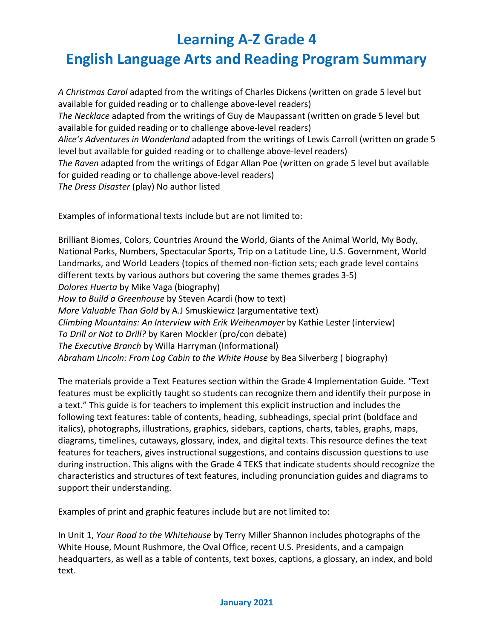## **English Language Arts and Reading Program Summary**

*A Christmas Carol* adapted from the writings of Charles Dickens (written on grade 5 level but available for guided reading or to challenge above-level readers) *The Necklace* adapted from the writings of Guy de Maupassant (written on grade 5 level but available for guided reading or to challenge above-level readers) *Alice's Adventures in Wonderland* adapted from the writings of Lewis Carroll (written on grade 5 level but available for guided reading or to challenge above-level readers) *The Raven* adapted from the writings of Edgar Allan Poe (written on grade 5 level but available for guided reading or to challenge above-level readers) *The Dress Disaster* (play) No author listed

Examples of informational texts include but are not limited to:

Brilliant Biomes, Colors, Countries Around the World, Giants of the Animal World, My Body, National Parks, Numbers, Spectacular Sports, Trip on a Latitude Line, U.S. Government, World Landmarks, and World Leaders (topics of themed non-fiction sets; each grade level contains different texts by various authors but covering the same themes grades 3-5) *Dolores Huerta* by Mike Vaga (biography) *How to Build a Greenhouse* by Steven Acardi (how to text) *More Valuable Than Gold* by A.J Smuskiewicz (argumentative text) *Climbing Mountains: An Interview with Erik Weihenmayer* by Kathie Lester (interview) *To Drill or Not to Drill?* by Karen Mockler (pro/con debate) *The Executive Branch* by Willa Harryman (Informational) *Abraham Lincoln: From Log Cabin to the White House* by Bea Silverberg ( biography)

The materials provide a Text Features section within the Grade 4 Implementation Guide. "Text features must be explicitly taught so students can recognize them and identify their purpose in a text." This guide is for teachers to implement this explicit instruction and includes the following text features: table of contents, heading, subheadings, special print (boldface and italics), photographs, illustrations, graphics, sidebars, captions, charts, tables, graphs, maps, diagrams, timelines, cutaways, glossary, index, and digital texts. This resource defines the text features for teachers, gives instructional suggestions, and contains discussion questions to use during instruction. This aligns with the Grade 4 TEKS that indicate students should recognize the characteristics and structures of text features, including pronunciation guides and diagrams to support their understanding.

Examples of print and graphic features include but are not limited to:

In Unit 1, *Your Road to the Whitehouse* by Terry Miller Shannon includes photographs of the White House, Mount Rushmore, the Oval Office, recent U.S. Presidents, and a campaign headquarters, as well as a table of contents, text boxes, captions, a glossary, an index, and bold text.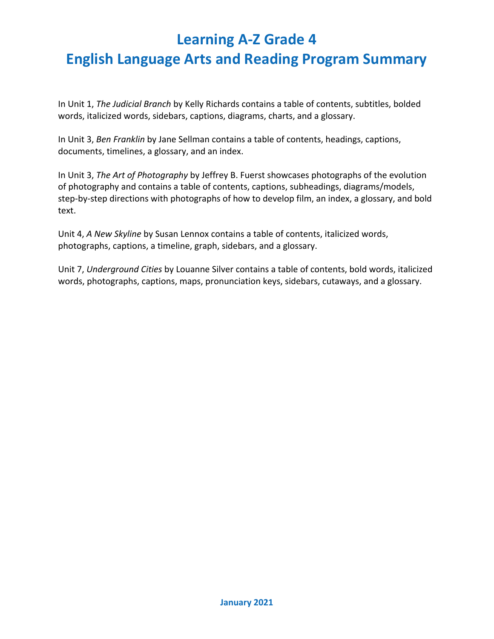In Unit 1, *The Judicial Branch* by Kelly Richards contains a table of contents, subtitles, bolded words, italicized words, sidebars, captions, diagrams, charts, and a glossary.

In Unit 3, *Ben Franklin* by Jane Sellman contains a table of contents, headings, captions, documents, timelines, a glossary, and an index.

In Unit 3, *The Art of Photography* by Jeffrey B. Fuerst showcases photographs of the evolution of photography and contains a table of contents, captions, subheadings, diagrams/models, step-by-step directions with photographs of how to develop film, an index, a glossary, and bold text.

Unit 4, *A New Skyline* by Susan Lennox contains a table of contents, italicized words, photographs, captions, a timeline, graph, sidebars, and a glossary.

Unit 7, *Underground Cities* by Louanne Silver contains a table of contents, bold words, italicized words, photographs, captions, maps, pronunciation keys, sidebars, cutaways, and a glossary.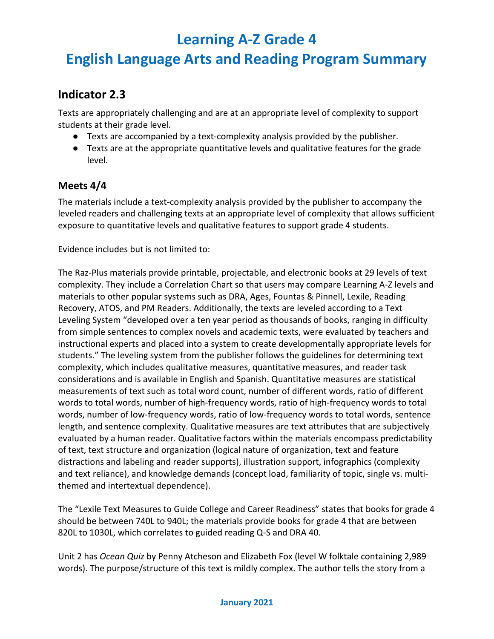## **English Language Arts and Reading Program Summary**

### **Indicator 2.3**

Texts are appropriately challenging and are at an appropriate level of complexity to support students at their grade level.

- Texts are accompanied by a text-complexity analysis provided by the publisher.
- Texts are at the appropriate quantitative levels and qualitative features for the grade level.

#### **Meets 4/4**

The materials include a text-complexity analysis provided by the publisher to accompany the leveled readers and challenging texts at an appropriate level of complexity that allows sufficient exposure to quantitative levels and qualitative features to support grade 4 students.

Evidence includes but is not limited to:

The Raz-Plus materials provide printable, projectable, and electronic books at 29 levels of text complexity. They include a Correlation Chart so that users may compare Learning A-Z levels and materials to other popular systems such as DRA, Ages, Fountas & Pinnell, Lexile, Reading Recovery, ATOS, and PM Readers. Additionally, the texts are leveled according to a Text Leveling System "developed over a ten year period as thousands of books, ranging in difficulty from simple sentences to complex novels and academic texts, were evaluated by teachers and instructional experts and placed into a system to create developmentally appropriate levels for students." The leveling system from the publisher follows the guidelines for determining text complexity, which includes qualitative measures, quantitative measures, and reader task considerations and is available in English and Spanish. Quantitative measures are statistical measurements of text such as total word count, number of different words, ratio of different words to total words, number of high-frequency words, ratio of high-frequency words to total words, number of low-frequency words, ratio of low-frequency words to total words, sentence length, and sentence complexity. Qualitative measures are text attributes that are subjectively evaluated by a human reader. Qualitative factors within the materials encompass predictability of text, text structure and organization (logical nature of organization, text and feature distractions and labeling and reader supports), illustration support, infographics (complexity and text reliance), and knowledge demands (concept load, familiarity of topic, single vs. multithemed and intertextual dependence).

The "Lexile Text Measures to Guide College and Career Readiness" states that books for grade 4 should be between 740L to 940L; the materials provide books for grade 4 that are between 820L to 1030L, which correlates to guided reading Q-S and DRA 40.

Unit 2 has *Ocean Quiz* by Penny Atcheson and Elizabeth Fox (level W folktale containing 2,989 words). The purpose/structure of this text is mildly complex. The author tells the story from a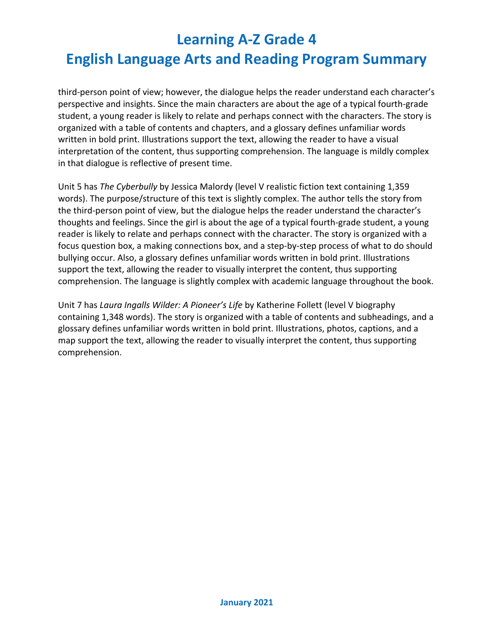third-person point of view; however, the dialogue helps the reader understand each character's perspective and insights. Since the main characters are about the age of a typical fourth-grade student, a young reader is likely to relate and perhaps connect with the characters. The story is organized with a table of contents and chapters, and a glossary defines unfamiliar words written in bold print. Illustrations support the text, allowing the reader to have a visual interpretation of the content, thus supporting comprehension. The language is mildly complex in that dialogue is reflective of present time.

Unit 5 has *The Cyberbully* by Jessica Malordy (level V realistic fiction text containing 1,359 words). The purpose/structure of this text is slightly complex. The author tells the story from the third-person point of view, but the dialogue helps the reader understand the character's thoughts and feelings. Since the girl is about the age of a typical fourth-grade student, a young reader is likely to relate and perhaps connect with the character. The story is organized with a focus question box, a making connections box, and a step-by-step process of what to do should bullying occur. Also, a glossary defines unfamiliar words written in bold print. Illustrations support the text, allowing the reader to visually interpret the content, thus supporting comprehension. The language is slightly complex with academic language throughout the book.

Unit 7 has *Laura Ingalls Wilder: A Pioneer's Life* by Katherine Follett (level V biography containing 1,348 words). The story is organized with a table of contents and subheadings, and a glossary defines unfamiliar words written in bold print. Illustrations, photos, captions, and a map support the text, allowing the reader to visually interpret the content, thus supporting comprehension.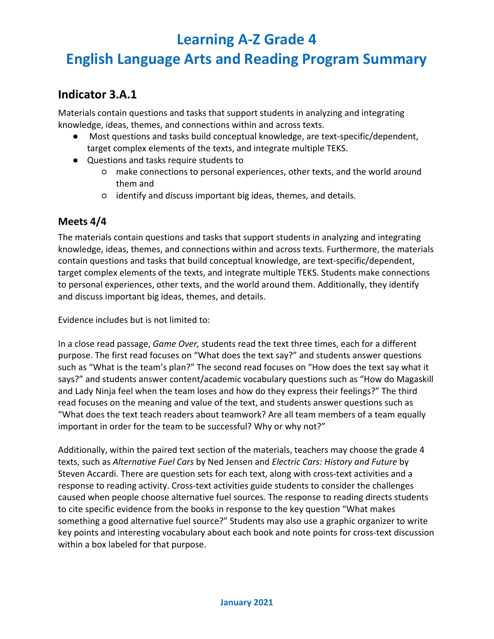## **English Language Arts and Reading Program Summary**

### **Indicator 3.A.1**

Materials contain questions and tasks that support students in analyzing and integrating knowledge, ideas, themes, and connections within and across texts.

- Most questions and tasks build conceptual knowledge, are text-specific/dependent, target complex elements of the texts, and integrate multiple TEKS.
- Questions and tasks require students to
	- make connections to personal experiences, other texts, and the world around them and
	- identify and discuss important big ideas, themes, and details.

#### **Meets 4/4**

The materials contain questions and tasks that support students in analyzing and integrating knowledge, ideas, themes, and connections within and across texts. Furthermore, the materials contain questions and tasks that build conceptual knowledge, are text-specific/dependent, target complex elements of the texts, and integrate multiple TEKS. Students make connections to personal experiences, other texts, and the world around them. Additionally, they identify and discuss important big ideas, themes, and details.

Evidence includes but is not limited to:

In a close read passage, *Game Over,* students read the text three times, each for a different purpose. The first read focuses on "What does the text say?" and students answer questions such as "What is the team's plan?" The second read focuses on "How does the text say what it says?" and students answer content/academic vocabulary questions such as "How do Magaskill and Lady Ninja feel when the team loses and how do they express their feelings?" The third read focuses on the meaning and value of the text, and students answer questions such as "What does the text teach readers about teamwork? Are all team members of a team equally important in order for the team to be successful? Why or why not?"

Additionally, within the paired text section of the materials, teachers may choose the grade 4 texts, such as *Alternative Fuel Cars* by Ned Jensen and *Electric Cars: History and Future* by Steven Accardi. There are question sets for each text, along with cross-text activities and a response to reading activity. Cross-text activities guide students to consider the challenges caused when people choose alternative fuel sources. The response to reading directs students to cite specific evidence from the books in response to the key question "What makes something a good alternative fuel source?" Students may also use a graphic organizer to write key points and interesting vocabulary about each book and note points for cross-text discussion within a box labeled for that purpose.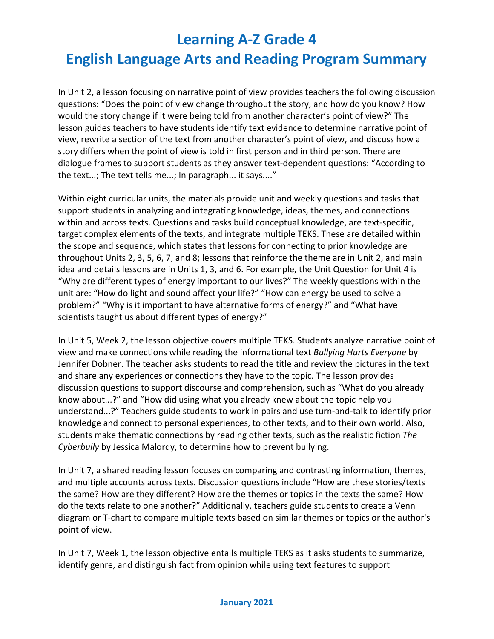In Unit 2, a lesson focusing on narrative point of view provides teachers the following discussion questions: "Does the point of view change throughout the story, and how do you know? How would the story change if it were being told from another character's point of view?" The lesson guides teachers to have students identify text evidence to determine narrative point of view, rewrite a section of the text from another character's point of view, and discuss how a story differs when the point of view is told in first person and in third person. There are dialogue frames to support students as they answer text-dependent questions: "According to the text...; The text tells me...; In paragraph... it says...."

Within eight curricular units, the materials provide unit and weekly questions and tasks that support students in analyzing and integrating knowledge, ideas, themes, and connections within and across texts. Questions and tasks build conceptual knowledge, are text-specific, target complex elements of the texts, and integrate multiple TEKS. These are detailed within the scope and sequence, which states that lessons for connecting to prior knowledge are throughout Units 2, 3, 5, 6, 7, and 8; lessons that reinforce the theme are in Unit 2, and main idea and details lessons are in Units 1, 3, and 6. For example, the Unit Question for Unit 4 is "Why are different types of energy important to our lives?" The weekly questions within the unit are: "How do light and sound affect your life?" "How can energy be used to solve a problem?" "Why is it important to have alternative forms of energy?" and "What have scientists taught us about different types of energy?"

In Unit 5, Week 2, the lesson objective covers multiple TEKS. Students analyze narrative point of view and make connections while reading the informational text *Bullying Hurts Everyone* by Jennifer Dobner. The teacher asks students to read the title and review the pictures in the text and share any experiences or connections they have to the topic. The lesson provides discussion questions to support discourse and comprehension, such as "What do you already know about...?" and "How did using what you already knew about the topic help you understand...?" Teachers guide students to work in pairs and use turn-and-talk to identify prior knowledge and connect to personal experiences, to other texts, and to their own world. Also, students make thematic connections by reading other texts, such as the realistic fiction *The Cyberbully* by Jessica Malordy, to determine how to prevent bullying.

In Unit 7, a shared reading lesson focuses on comparing and contrasting information, themes, and multiple accounts across texts. Discussion questions include "How are these stories/texts the same? How are they different? How are the themes or topics in the texts the same? How do the texts relate to one another?" Additionally, teachers guide students to create a Venn diagram or T-chart to compare multiple texts based on similar themes or topics or the author's point of view.

In Unit 7, Week 1, the lesson objective entails multiple TEKS as it asks students to summarize, identify genre, and distinguish fact from opinion while using text features to support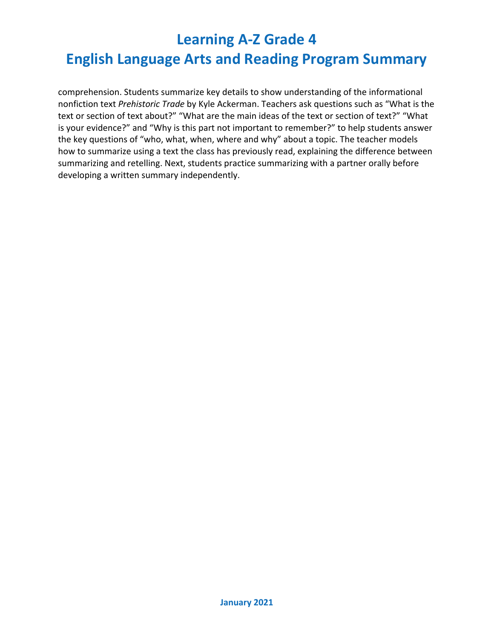comprehension. Students summarize key details to show understanding of the informational nonfiction text *Prehistoric Trade* by Kyle Ackerman. Teachers ask questions such as "What is the text or section of text about?" "What are the main ideas of the text or section of text?" "What is your evidence?" and "Why is this part not important to remember?" to help students answer the key questions of "who, what, when, where and why" about a topic. The teacher models how to summarize using a text the class has previously read, explaining the difference between summarizing and retelling. Next, students practice summarizing with a partner orally before developing a written summary independently.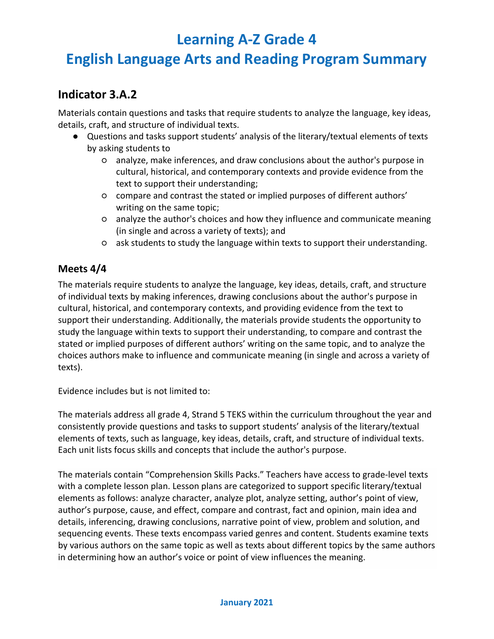## **English Language Arts and Reading Program Summary**

### **Indicator 3.A.2**

Materials contain questions and tasks that require students to analyze the language, key ideas, details, craft, and structure of individual texts.

- Questions and tasks support students' analysis of the literary/textual elements of texts by asking students to
	- analyze, make inferences, and draw conclusions about the author's purpose in cultural, historical, and contemporary contexts and provide evidence from the text to support their understanding;
	- compare and contrast the stated or implied purposes of different authors' writing on the same topic;
	- analyze the author's choices and how they influence and communicate meaning (in single and across a variety of texts); and
	- ask students to study the language within texts to support their understanding.

#### **Meets 4/4**

The materials require students to analyze the language, key ideas, details, craft, and structure of individual texts by making inferences, drawing conclusions about the author's purpose in cultural, historical, and contemporary contexts, and providing evidence from the text to support their understanding. Additionally, the materials provide students the opportunity to study the language within texts to support their understanding, to compare and contrast the stated or implied purposes of different authors' writing on the same topic, and to analyze the choices authors make to influence and communicate meaning (in single and across a variety of texts).

Evidence includes but is not limited to:

The materials address all grade 4, Strand 5 TEKS within the curriculum throughout the year and consistently provide questions and tasks to support students' analysis of the literary/textual elements of texts, such as language, key ideas, details, craft, and structure of individual texts. Each unit lists focus skills and concepts that include the author's purpose.

The materials contain "Comprehension Skills Packs." Teachers have access to grade-level texts with a complete lesson plan. Lesson plans are categorized to support specific literary/textual elements as follows: analyze character, analyze plot, analyze setting, author's point of view, author's purpose, cause, and effect, compare and contrast, fact and opinion, main idea and details, inferencing, drawing conclusions, narrative point of view, problem and solution, and sequencing events. These texts encompass varied genres and content. Students examine texts by various authors on the same topic as well as texts about different topics by the same authors in determining how an author's voice or point of view influences the meaning.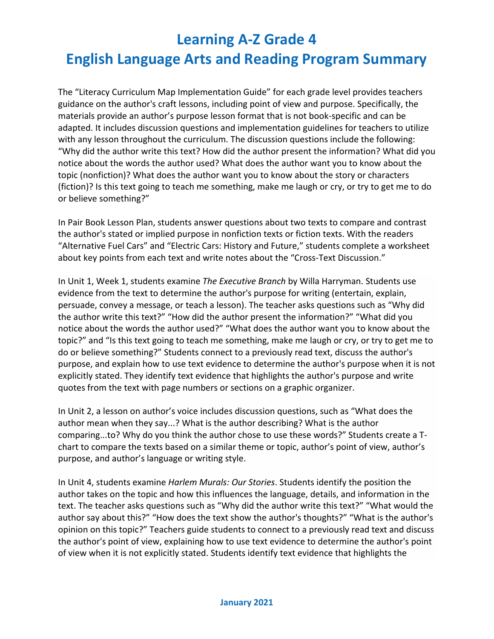The "Literacy Curriculum Map Implementation Guide" for each grade level provides teachers guidance on the author's craft lessons, including point of view and purpose. Specifically, the materials provide an author's purpose lesson format that is not book-specific and can be adapted. It includes discussion questions and implementation guidelines for teachers to utilize with any lesson throughout the curriculum. The discussion questions include the following: "Why did the author write this text? How did the author present the information? What did you notice about the words the author used? What does the author want you to know about the topic (nonfiction)? What does the author want you to know about the story or characters (fiction)? Is this text going to teach me something, make me laugh or cry, or try to get me to do or believe something?"

In Pair Book Lesson Plan, students answer questions about two texts to compare and contrast the author's stated or implied purpose in nonfiction texts or fiction texts. With the readers "Alternative Fuel Cars" and "Electric Cars: History and Future," students complete a worksheet about key points from each text and write notes about the "Cross-Text Discussion."

In Unit 1, Week 1, students examine *The Executive Branch* by Willa Harryman. Students use evidence from the text to determine the author's purpose for writing (entertain, explain, persuade, convey a message, or teach a lesson). The teacher asks questions such as "Why did the author write this text?" "How did the author present the information?" "What did you notice about the words the author used?" "What does the author want you to know about the topic?" and "Is this text going to teach me something, make me laugh or cry, or try to get me to do or believe something?" Students connect to a previously read text, discuss the author's purpose, and explain how to use text evidence to determine the author's purpose when it is not explicitly stated. They identify text evidence that highlights the author's purpose and write quotes from the text with page numbers or sections on a graphic organizer.

In Unit 2, a lesson on author's voice includes discussion questions, such as "What does the author mean when they say...? What is the author describing? What is the author comparing...to? Why do you think the author chose to use these words?" Students create a Tchart to compare the texts based on a similar theme or topic, author's point of view, author's purpose, and author's language or writing style.

In Unit 4, students examine *Harlem Murals: Our Stories*. Students identify the position the author takes on the topic and how this influences the language, details, and information in the text. The teacher asks questions such as "Why did the author write this text?" "What would the author say about this?" "How does the text show the author's thoughts?" "What is the author's opinion on this topic?" Teachers guide students to connect to a previously read text and discuss the author's point of view, explaining how to use text evidence to determine the author's point of view when it is not explicitly stated. Students identify text evidence that highlights the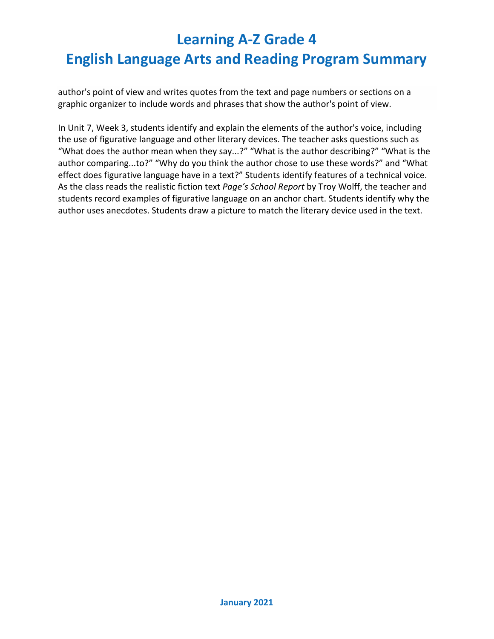author's point of view and writes quotes from the text and page numbers or sections on a graphic organizer to include words and phrases that show the author's point of view.

In Unit 7, Week 3, students identify and explain the elements of the author's voice, including the use of figurative language and other literary devices. The teacher asks questions such as "What does the author mean when they say...?" "What is the author describing?" "What is the author comparing...to?" "Why do you think the author chose to use these words?" and "What effect does figurative language have in a text?" Students identify features of a technical voice. As the class reads the realistic fiction text *Page's School Report* by Troy Wolff, the teacher and students record examples of figurative language on an anchor chart. Students identify why the author uses anecdotes. Students draw a picture to match the literary device used in the text.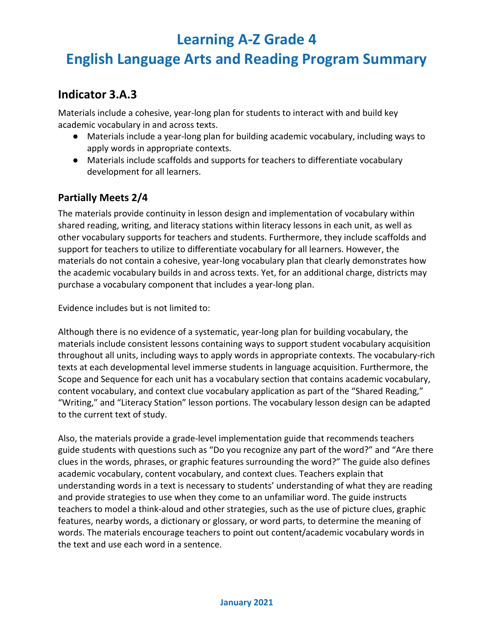## **English Language Arts and Reading Program Summary**

### **Indicator 3.A.3**

Materials include a cohesive, year-long plan for students to interact with and build key academic vocabulary in and across texts.

- Materials include a year-long plan for building academic vocabulary, including ways to apply words in appropriate contexts.
- Materials include scaffolds and supports for teachers to differentiate vocabulary development for all learners.

#### **Partially Meets 2/4**

The materials provide continuity in lesson design and implementation of vocabulary within shared reading, writing, and literacy stations within literacy lessons in each unit, as well as other vocabulary supports for teachers and students. Furthermore, they include scaffolds and support for teachers to utilize to differentiate vocabulary for all learners. However, the materials do not contain a cohesive, year-long vocabulary plan that clearly demonstrates how the academic vocabulary builds in and across texts. Yet, for an additional charge, districts may purchase a vocabulary component that includes a year-long plan.

Evidence includes but is not limited to:

Although there is no evidence of a systematic, year-long plan for building vocabulary, the materials include consistent lessons containing ways to support student vocabulary acquisition throughout all units, including ways to apply words in appropriate contexts. The vocabulary-rich texts at each developmental level immerse students in language acquisition. Furthermore, the Scope and Sequence for each unit has a vocabulary section that contains academic vocabulary, content vocabulary, and context clue vocabulary application as part of the "Shared Reading," "Writing," and "Literacy Station" lesson portions. The vocabulary lesson design can be adapted to the current text of study.

Also, the materials provide a grade-level implementation guide that recommends teachers guide students with questions such as "Do you recognize any part of the word?" and "Are there clues in the words, phrases, or graphic features surrounding the word?" The guide also defines academic vocabulary, content vocabulary, and context clues. Teachers explain that understanding words in a text is necessary to students' understanding of what they are reading and provide strategies to use when they come to an unfamiliar word. The guide instructs teachers to model a think-aloud and other strategies, such as the use of picture clues, graphic features, nearby words, a dictionary or glossary, or word parts, to determine the meaning of words. The materials encourage teachers to point out content/academic vocabulary words in the text and use each word in a sentence.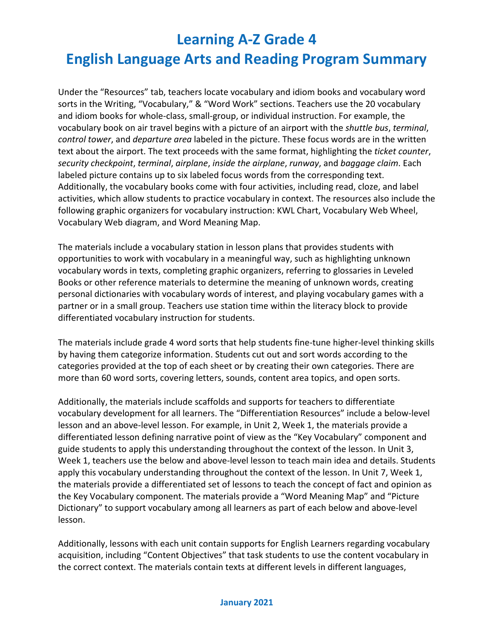Under the "Resources" tab, teachers locate vocabulary and idiom books and vocabulary word sorts in the Writing, "Vocabulary," & "Word Work" sections. Teachers use the 20 vocabulary and idiom books for whole-class, small-group, or individual instruction. For example, the vocabulary book on air travel begins with a picture of an airport with the *shuttle bus*, *terminal*, *control tower*, and *departure area* labeled in the picture. These focus words are in the written text about the airport. The text proceeds with the same format, highlighting the *ticket counter*, *security checkpoint*, *terminal*, *airplane*, *inside the airplane*, *runway*, and *baggage claim*. Each labeled picture contains up to six labeled focus words from the corresponding text. Additionally, the vocabulary books come with four activities, including read, cloze, and label activities, which allow students to practice vocabulary in context. The resources also include the following graphic organizers for vocabulary instruction: KWL Chart, Vocabulary Web Wheel, Vocabulary Web diagram, and Word Meaning Map.

The materials include a vocabulary station in lesson plans that provides students with opportunities to work with vocabulary in a meaningful way, such as highlighting unknown vocabulary words in texts, completing graphic organizers, referring to glossaries in Leveled Books or other reference materials to determine the meaning of unknown words, creating personal dictionaries with vocabulary words of interest, and playing vocabulary games with a partner or in a small group. Teachers use station time within the literacy block to provide differentiated vocabulary instruction for students.

The materials include grade 4 word sorts that help students fine-tune higher-level thinking skills by having them categorize information. Students cut out and sort words according to the categories provided at the top of each sheet or by creating their own categories. There are more than 60 word sorts, covering letters, sounds, content area topics, and open sorts.

Additionally, the materials include scaffolds and supports for teachers to differentiate vocabulary development for all learners. The "Differentiation Resources" include a below-level lesson and an above-level lesson. For example, in Unit 2, Week 1, the materials provide a differentiated lesson defining narrative point of view as the "Key Vocabulary" component and guide students to apply this understanding throughout the context of the lesson. In Unit 3, Week 1, teachers use the below and above-level lesson to teach main idea and details. Students apply this vocabulary understanding throughout the context of the lesson. In Unit 7, Week 1, the materials provide a differentiated set of lessons to teach the concept of fact and opinion as the Key Vocabulary component. The materials provide a "Word Meaning Map" and "Picture Dictionary" to support vocabulary among all learners as part of each below and above-level lesson.

Additionally, lessons with each unit contain supports for English Learners regarding vocabulary acquisition, including "Content Objectives" that task students to use the content vocabulary in the correct context. The materials contain texts at different levels in different languages,

#### **January 2021**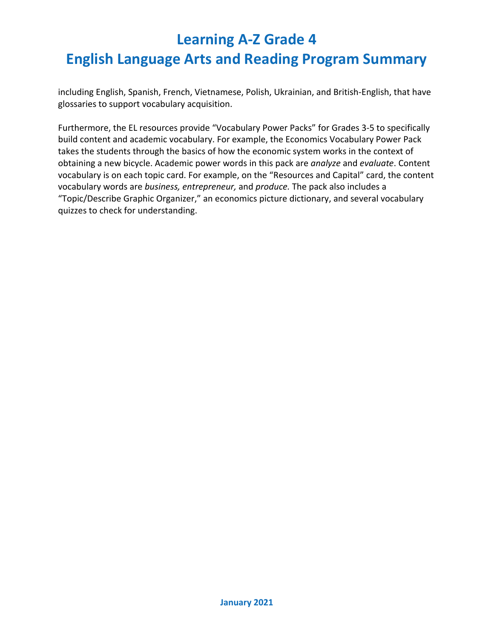including English, Spanish, French, Vietnamese, Polish, Ukrainian, and British-English, that have glossaries to support vocabulary acquisition.

Furthermore, the EL resources provide "Vocabulary Power Packs" for Grades 3-5 to specifically build content and academic vocabulary. For example, the Economics Vocabulary Power Pack takes the students through the basics of how the economic system works in the context of obtaining a new bicycle. Academic power words in this pack are *analyze* and *evaluate*. Content vocabulary is on each topic card. For example, on the "Resources and Capital" card, the content vocabulary words are *business, entrepreneur,* and *produce.* The pack also includes a "Topic/Describe Graphic Organizer," an economics picture dictionary, and several vocabulary quizzes to check for understanding.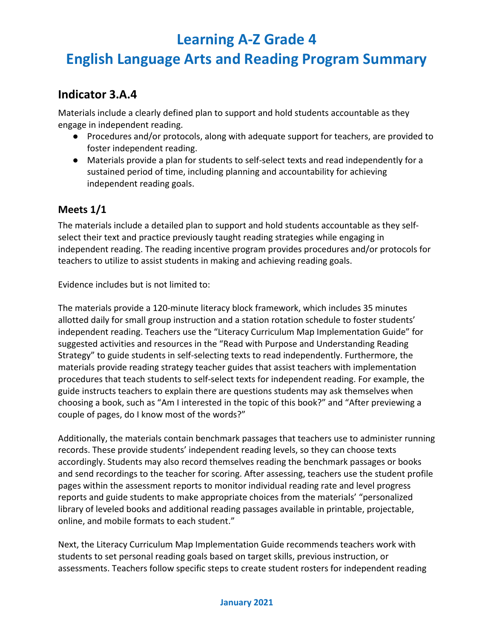## **English Language Arts and Reading Program Summary**

### **Indicator 3.A.4**

Materials include a clearly defined plan to support and hold students accountable as they engage in independent reading.

- Procedures and/or protocols, along with adequate support for teachers, are provided to foster independent reading.
- Materials provide a plan for students to self-select texts and read independently for a sustained period of time, including planning and accountability for achieving independent reading goals.

#### **Meets 1/1**

The materials include a detailed plan to support and hold students accountable as they selfselect their text and practice previously taught reading strategies while engaging in independent reading. The reading incentive program provides procedures and/or protocols for teachers to utilize to assist students in making and achieving reading goals.

Evidence includes but is not limited to:

The materials provide a 120-minute literacy block framework, which includes 35 minutes allotted daily for small group instruction and a station rotation schedule to foster students' independent reading. Teachers use the "Literacy Curriculum Map Implementation Guide" for suggested activities and resources in the "Read with Purpose and Understanding Reading Strategy" to guide students in self-selecting texts to read independently. Furthermore, the materials provide reading strategy teacher guides that assist teachers with implementation procedures that teach students to self-select texts for independent reading. For example, the guide instructs teachers to explain there are questions students may ask themselves when choosing a book, such as "Am I interested in the topic of this book?" and "After previewing a couple of pages, do I know most of the words?"

Additionally, the materials contain benchmark passages that teachers use to administer running records. These provide students' independent reading levels, so they can choose texts accordingly. Students may also record themselves reading the [benchmark passages](https://www.raz-plus.com/assessments/benchmark-passages/) or [books](https://www.raz-plus.com/assessments/benchmark-books/) and send recordings to the teacher for scoring. After assessing, teachers use the student profile pages within the assessment reports to monitor individual reading rate and level progress reports and guide students to make appropriate choices from the materials' "personalized library of leveled books and additional reading passages available in printable, projectable, online, and mobile formats to each student."

Next, the Literacy Curriculum Map Implementation Guide recommends teachers work with students to set personal reading goals based on target skills, previous instruction, or assessments. Teachers follow specific steps to create student rosters for independent reading

#### **January 2021**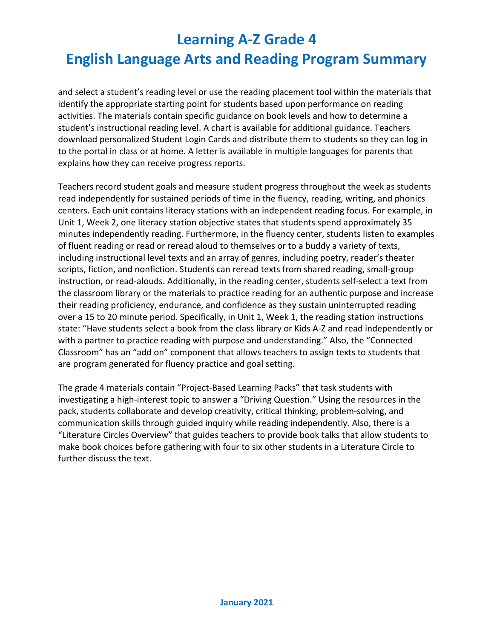and select a student's reading level or use the reading placement tool within the materials that identify the appropriate starting point for students based upon performance on reading activities. The materials contain specific guidance on book levels and how to determine a student's instructional reading level. A chart is available for additional guidance. Teachers download personalized Student Login Cards and distribute them to students so they can log in to the portal in class or at home. A letter is available in multiple languages for parents that explains how they can receive progress reports.

Teachers record student goals and measure student progress throughout the week as students read independently for sustained periods of time in the fluency, reading, writing, and phonics centers. Each unit contains literacy stations with an independent reading focus. For example, in Unit 1, Week 2, one literacy station objective states that students spend approximately 35 minutes independently reading. Furthermore, in the fluency center, students listen to examples of fluent reading or read or reread aloud to themselves or to a buddy a variety of texts, including instructional level texts and an array of genres, including poetry, reader's theater scripts, fiction, and nonfiction. Students can reread texts from shared reading, small-group instruction, or read-alouds. Additionally, in the reading center, students self-select a text from the classroom library or the materials to practice reading for an authentic purpose and increase their reading proficiency, endurance, and confidence as they sustain uninterrupted reading over a 15 to 20 minute period. Specifically, in Unit 1, Week 1, the reading station instructions state: "Have students select a book from the class library or Kids A-Z and read independently or with a partner to practice reading with purpose and understanding." Also, the "Connected Classroom" has an "add on" component that allows teachers to assign texts to students that are program generated for fluency practice and goal setting.

The grade 4 materials contain "Project-Based Learning Packs" that task students with investigating a high-interest topic to answer a "Driving Question." Using the resources in the pack, students collaborate and develop creativity, critical thinking, problem-solving, and communication skills through guided inquiry while reading independently. Also, there is a "Literature Circles Overview" that guides teachers to provide book talks that allow students to make book choices before gathering with four to six other students in a Literature Circle to further discuss the text.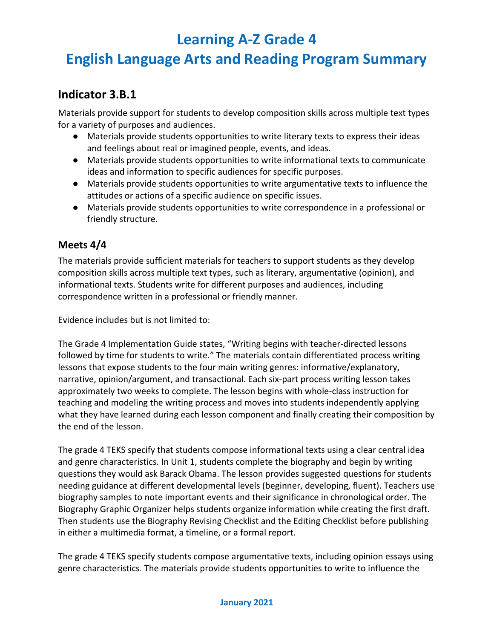## **English Language Arts and Reading Program Summary**

### **Indicator 3.B.1**

Materials provide support for students to develop composition skills across multiple text types for a variety of purposes and audiences.

- Materials provide students opportunities to write literary texts to express their ideas and feelings about real or imagined people, events, and ideas.
- Materials provide students opportunities to write informational texts to communicate ideas and information to specific audiences for specific purposes.
- Materials provide students opportunities to write argumentative texts to influence the attitudes or actions of a specific audience on specific issues.
- Materials provide students opportunities to write correspondence in a professional or friendly structure.

#### **Meets 4/4**

The materials provide sufficient materials for teachers to support students as they develop composition skills across multiple text types, such as literary, argumentative (opinion), and informational texts. Students write for different purposes and audiences, including correspondence written in a professional or friendly manner.

Evidence includes but is not limited to:

The Grade 4 Implementation Guide states, "Writing begins with teacher-directed lessons followed by time for students to write." The materials contain differentiated process writing lessons that expose students to the four main writing genres: informative/explanatory, narrative, opinion/argument, and transactional. Each six-part process writing lesson takes approximately two weeks to complete. The lesson begins with whole-class instruction for teaching and modeling the writing process and moves into students independently applying what they have learned during each lesson component and finally creating their composition by the end of the lesson.

The grade 4 TEKS specify that students compose informational texts using a clear central idea and genre characteristics. In Unit 1, students complete the biography and begin by writing questions they would ask Barack Obama. The lesson provides suggested questions for students needing guidance at different developmental levels (beginner, developing, fluent). Teachers use biography samples to note important events and their significance in chronological order. The Biography Graphic Organizer helps students organize information while creating the first draft. Then students use the Biography Revising Checklist and the Editing Checklist before publishing in either a multimedia format, a timeline, or a formal report.

The grade 4 TEKS specify students compose argumentative texts, including opinion essays using genre characteristics. The materials provide students opportunities to write to influence the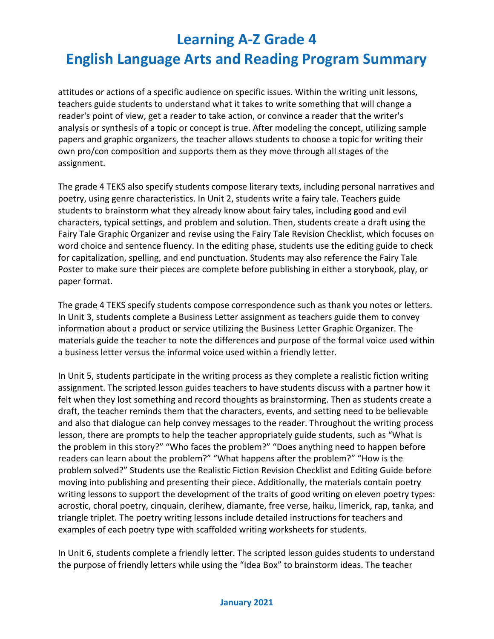attitudes or actions of a specific audience on specific issues. Within the writing unit lessons, teachers guide students to understand what it takes to write something that will change a reader's point of view, get a reader to take action, or convince a reader that the writer's analysis or synthesis of a topic or concept is true. After modeling the concept, utilizing sample papers and graphic organizers, the teacher allows students to choose a topic for writing their own pro/con composition and supports them as they move through all stages of the assignment.

The grade 4 TEKS also specify students compose literary texts, including personal narratives and poetry, using genre characteristics. In Unit 2, students write a fairy tale. Teachers guide students to brainstorm what they already know about fairy tales, including good and evil characters, typical settings, and problem and solution. Then, students create a draft using the Fairy Tale Graphic Organizer and revise using the Fairy Tale Revision Checklist, which focuses on word choice and sentence fluency. In the editing phase, students use the editing guide to check for capitalization, spelling, and end punctuation. Students may also reference the Fairy Tale Poster to make sure their pieces are complete before publishing in either a storybook, play, or paper format.

The grade 4 TEKS specify students compose correspondence such as thank you notes or letters. In Unit 3, students complete a Business Letter assignment as teachers guide them to convey information about a product or service utilizing the Business Letter Graphic Organizer. The materials guide the teacher to note the differences and purpose of the formal voice used within a business letter versus the informal voice used within a friendly letter.

In Unit 5, students participate in the writing process as they complete a realistic fiction writing assignment. The scripted lesson guides teachers to have students discuss with a partner how it felt when they lost something and record thoughts as brainstorming. Then as students create a draft, the teacher reminds them that the characters, events, and setting need to be believable and also that dialogue can help convey messages to the reader. Throughout the writing process lesson, there are prompts to help the teacher appropriately guide students, such as "What is the problem in this story?" "Who faces the problem?" "Does anything need to happen before readers can learn about the problem?" "What happens after the problem?" "How is the problem solved?" Students use the Realistic Fiction Revision Checklist and Editing Guide before moving into publishing and presenting their piece. Additionally, the materials contain poetry writing lessons to support the development of the traits of good writing on eleven poetry types: acrostic, choral poetry, cinquain, clerihew, diamante, free verse, haiku, limerick, rap, tanka, and triangle triplet. The poetry writing lessons include detailed instructions for teachers and examples of each poetry type with scaffolded writing worksheets for students.

In Unit 6, students complete a friendly letter. The scripted lesson guides students to understand the purpose of friendly letters while using the "Idea Box" to brainstorm ideas. The teacher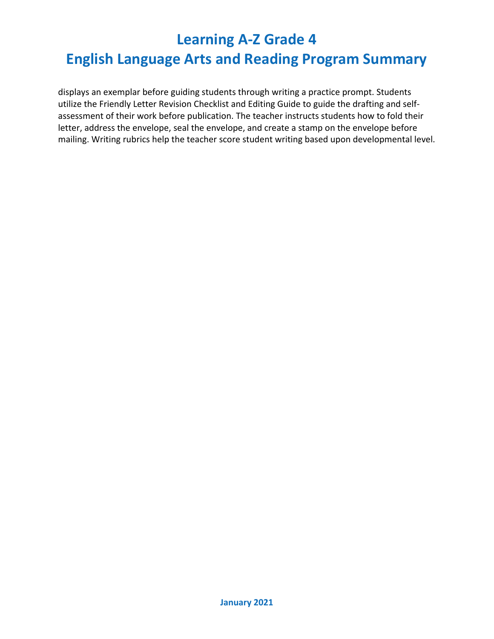displays an exemplar before guiding students through writing a practice prompt. Students utilize the Friendly Letter Revision Checklist and Editing Guide to guide the drafting and selfassessment of their work before publication. The teacher instructs students how to fold their letter, address the envelope, seal the envelope, and create a stamp on the envelope before mailing. Writing rubrics help the teacher score student writing based upon developmental level.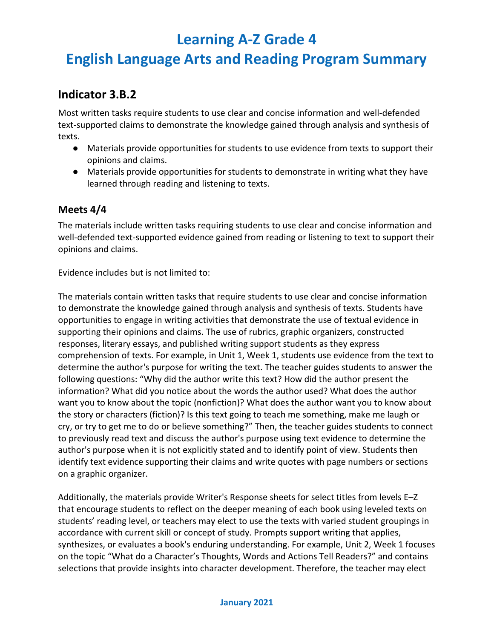## **English Language Arts and Reading Program Summary**

### **Indicator 3.B.2**

Most written tasks require students to use clear and concise information and well-defended text-supported claims to demonstrate the knowledge gained through analysis and synthesis of texts.

- Materials provide opportunities for students to use evidence from texts to support their opinions and claims.
- Materials provide opportunities for students to demonstrate in writing what they have learned through reading and listening to texts.

#### **Meets 4/4**

The materials include written tasks requiring students to use clear and concise information and well-defended text-supported evidence gained from reading or listening to text to support their opinions and claims.

Evidence includes but is not limited to:

The materials contain written tasks that require students to use clear and concise information to demonstrate the knowledge gained through analysis and synthesis of texts. Students have opportunities to engage in writing activities that demonstrate the use of textual evidence in supporting their opinions and claims. The use of rubrics, graphic organizers, constructed responses, literary essays, and published writing support students as they express comprehension of texts. For example, in Unit 1, Week 1, students use evidence from the text to determine the author's purpose for writing the text. The teacher guides students to answer the following questions: "Why did the author write this text? How did the author present the information? What did you notice about the words the author used? What does the author want you to know about the topic (nonfiction)? What does the author want you to know about the story or characters (fiction)? Is this text going to teach me something, make me laugh or cry, or try to get me to do or believe something?" Then, the teacher guides students to connect to previously read text and discuss the author's purpose using text evidence to determine the author's purpose when it is not explicitly stated and to identify point of view. Students then identify text evidence supporting their claims and write quotes with page numbers or sections on a graphic organizer.

Additionally, the materials provide Writer's Response sheets for select titles from levels E–Z that encourage students to reflect on the deeper meaning of each book using leveled texts on students' reading level, or teachers may elect to use the texts with varied student groupings in accordance with current skill or concept of study. Prompts support writing that applies, synthesizes, or evaluates a book's enduring understanding. For example, Unit 2, Week 1 focuses on the topic "What do a Character's Thoughts, Words and Actions Tell Readers?" and contains selections that provide insights into character development. Therefore, the teacher may elect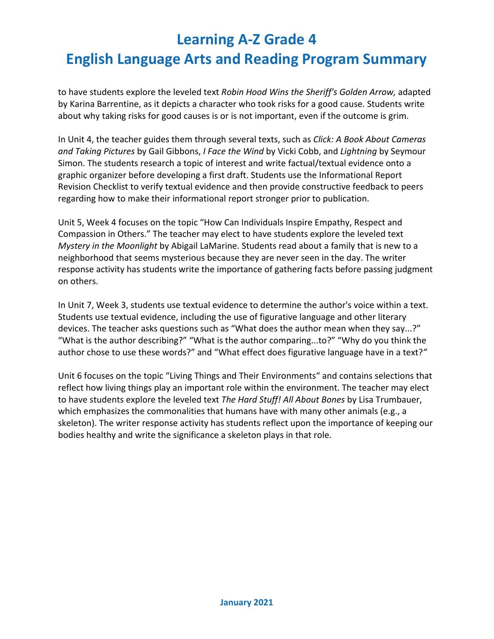to have students explore the leveled text *Robin Hood Wins the Sheriff's Golden Arrow,* adapted by Karina Barrentine, as it depicts a character who took risks for a good cause. Students write about why taking risks for good causes is or is not important, even if the outcome is grim.

In Unit 4, the teacher guides them through several texts, such as *Click: A Book About Cameras and Taking Pictures* by Gail Gibbons, *I Face the Wind* by Vicki Cobb, and *Lightning* by Seymour Simon. The students research a topic of interest and write factual/textual evidence onto a graphic organizer before developing a first draft. Students use the Informational Report Revision Checklist to verify textual evidence and then provide constructive feedback to peers regarding how to make their informational report stronger prior to publication.

Unit 5, Week 4 focuses on the topic "How Can Individuals Inspire Empathy, Respect and Compassion in Others." The teacher may elect to have students explore the leveled text *Mystery in the Moonlight* by Abigail LaMarine. Students read about a family that is new to a neighborhood that seems mysterious because they are never seen in the day. The writer response activity has students write the importance of gathering facts before passing judgment on others.

In Unit 7, Week 3, students use textual evidence to determine the author's voice within a text. Students use textual evidence, including the use of figurative language and other literary devices. The teacher asks questions such as "What does the author mean when they say...?" "What is the author describing?" "What is the author comparing...to?" "Why do you think the author chose to use these words?" and "What effect does figurative language have in a text?*"* 

Unit 6 focuses on the topic "Living Things and Their Environments" and contains selections that reflect how living things play an important role within the environment. The teacher may elect to have students explore the leveled text *The Hard Stuff! All About Bones* by Lisa Trumbauer, which emphasizes the commonalities that humans have with many other animals (e.g., a skeleton). The writer response activity has students reflect upon the importance of keeping our bodies healthy and write the significance a skeleton plays in that role.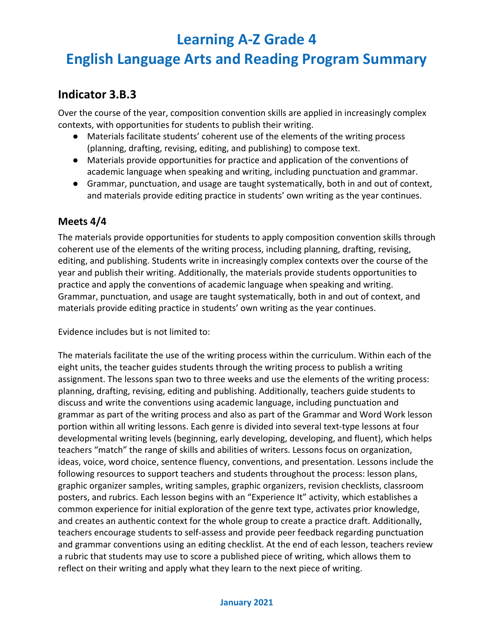## **English Language Arts and Reading Program Summary**

### **Indicator 3.B.3**

Over the course of the year, composition convention skills are applied in increasingly complex contexts, with opportunities for students to publish their writing.

- Materials facilitate students' coherent use of the elements of the writing process (planning, drafting, revising, editing, and publishing) to compose text.
- Materials provide opportunities for practice and application of the conventions of academic language when speaking and writing, including punctuation and grammar.
- Grammar, punctuation, and usage are taught systematically, both in and out of context, and materials provide editing practice in students' own writing as the year continues.

#### **Meets 4/4**

The materials provide opportunities for students to apply composition convention skills through coherent use of the elements of the writing process, including planning, drafting, revising, editing, and publishing. Students write in increasingly complex contexts over the course of the year and publish their writing. Additionally, the materials provide students opportunities to practice and apply the conventions of academic language when speaking and writing. Grammar, punctuation, and usage are taught systematically, both in and out of context, and materials provide editing practice in students' own writing as the year continues.

Evidence includes but is not limited to:

The materials facilitate the use of the writing process within the curriculum. Within each of the eight units, the teacher guides students through the writing process to publish a writing assignment. The lessons span two to three weeks and use the elements of the writing process: planning, drafting, revising, editing and publishing. Additionally, teachers guide students to discuss and write the conventions using academic language, including punctuation and grammar as part of the writing process and also as part of the Grammar and Word Work lesson portion within all writing lessons. Each genre is divided into several text-type lessons at four developmental writing levels (beginning, early developing, developing, and fluent), which helps teachers "match" the range of skills and abilities of writers. Lessons focus on organization, ideas, voice, word choice, sentence fluency, conventions, and presentation. Lessons include the following resources to support teachers and students throughout the process: lesson plans, graphic organizer samples, writing samples, graphic organizers, revision checklists, classroom posters, and rubrics. Each lesson begins with an "Experience It" activity, which establishes a common experience for initial exploration of the genre text type, activates prior knowledge, and creates an authentic context for the whole group to create a practice draft. Additionally, teachers encourage students to self-assess and provide peer feedback regarding punctuation and grammar conventions using an editing checklist. At the end of each lesson, teachers review a rubric that students may use to score a published piece of writing, which allows them to reflect on their writing and apply what they learn to the next piece of writing.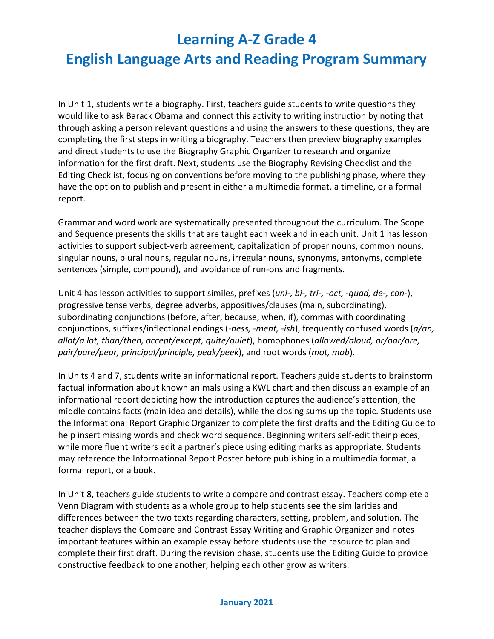## **English Language Arts and Reading Program Summary**

In Unit 1, students write a biography. First, teachers guide students to write questions they would like to ask Barack Obama and connect this activity to writing instruction by noting that through asking a person relevant questions and using the answers to these questions, they are completing the first steps in writing a biography. Teachers then preview biography examples and direct students to use the Biography Graphic Organizer to research and organize information for the first draft. Next, students use the Biography Revising Checklist and the Editing Checklist, focusing on conventions before moving to the publishing phase, where they have the option to publish and present in either a multimedia format, a timeline, or a formal report.

Grammar and word work are systematically presented throughout the curriculum. The Scope and Sequence presents the skills that are taught each week and in each unit. Unit 1 has lesson activities to support subject-verb agreement, capitalization of proper nouns, common nouns, singular nouns, plural nouns, regular nouns, irregular nouns, synonyms, antonyms, complete sentences (simple, compound), and avoidance of run-ons and fragments.

Unit 4 has lesson activities to support similes, prefixes (*uni-, bi-, tri-, -oct, -quad, de-, con-*), progressive tense verbs, degree adverbs, appositives/clauses (main, subordinating), subordinating conjunctions (before, after, because, when, if), commas with coordinating conjunctions, suffixes/inflectional endings (*-ness, -ment, -ish*), frequently confused words (*a/an, allot/a lot, than/then, accept/except, quite/quiet*), homophones (*allowed/aloud, or/oar/ore, pair/pare/pear, principal/principle, peak/peek*), and root words (*mot, mob*).

In Units 4 and 7, students write an informational report. Teachers guide students to brainstorm factual information about known animals using a KWL chart and then discuss an example of an informational report depicting how the introduction captures the audience's attention, the middle contains facts (main idea and details), while the closing sums up the topic. Students use the Informational Report Graphic Organizer to complete the first drafts and the Editing Guide to help insert missing words and check word sequence. Beginning writers self-edit their pieces, while more fluent writers edit a partner's piece using editing marks as appropriate. Students may reference the Informational Report Poster before publishing in a multimedia format, a formal report, or a book.

In Unit 8, teachers guide students to write a compare and contrast essay. Teachers complete a Venn Diagram with students as a whole group to help students see the similarities and differences between the two texts regarding characters, setting, problem, and solution. The teacher displays the Compare and Contrast Essay Writing and Graphic Organizer and notes important features within an example essay before students use the resource to plan and complete their first draft. During the revision phase, students use the Editing Guide to provide constructive feedback to one another, helping each other grow as writers.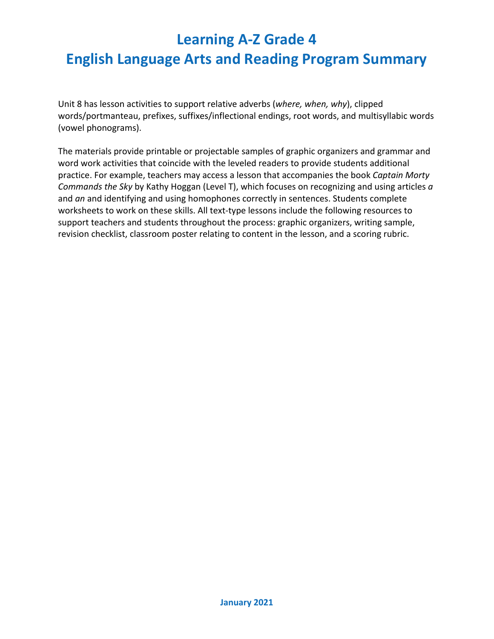Unit 8 has lesson activities to support relative adverbs (*where, when, why*), clipped words/portmanteau, prefixes, suffixes/inflectional endings, root words, and multisyllabic words (vowel phonograms).

The materials provide printable or projectable samples of graphic organizers and grammar and word work activities that coincide with the leveled readers to provide students additional practice. For example, teachers may access a lesson that accompanies the book *Captain Morty Commands the Sky* by Kathy Hoggan (Level T), which focuses on recognizing and using articles *a* and *an* and identifying and using homophones correctly in sentences. Students complete worksheets to work on these skills. All text-type lessons include the following resources to support teachers and students throughout the process: graphic organizers, writing sample, revision checklist, classroom poster relating to content in the lesson, and a scoring rubric.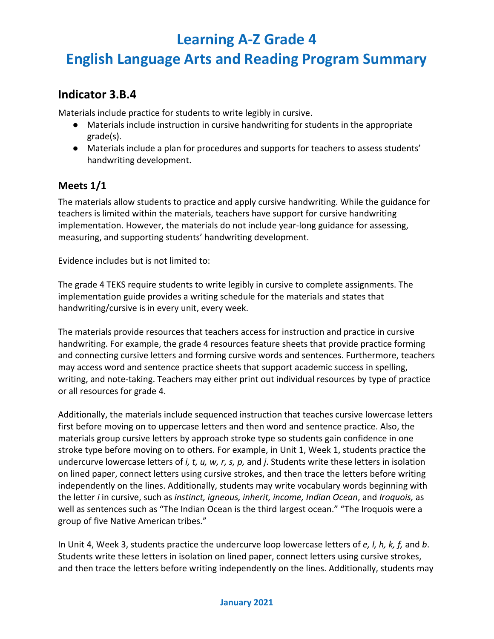## **English Language Arts and Reading Program Summary**

### **Indicator 3.B.4**

Materials include practice for students to write legibly in cursive.

- Materials include instruction in cursive handwriting for students in the appropriate grade(s).
- Materials include a plan for procedures and supports for teachers to assess students' handwriting development.

#### **Meets 1/1**

The materials allow students to practice and apply cursive handwriting. While the guidance for teachers is limited within the materials, teachers have support for cursive handwriting implementation. However, the materials do not include year-long guidance for assessing, measuring, and supporting students' handwriting development.

Evidence includes but is not limited to:

The grade 4 TEKS require students to write legibly in cursive to complete assignments. The implementation guide provides a writing schedule for the materials and states that handwriting/cursive is in every unit, every week.

The materials provide resources that teachers access for instruction and practice in cursive handwriting. For example, the grade 4 resources feature sheets that provide practice forming and connecting cursive letters and forming cursive words and sentences. Furthermore, teachers may access word and sentence practice sheets that support academic success in spelling, writing, and note-taking. Teachers may either print out individual resources by type of practice or all resources for grade 4.

Additionally, the materials include sequenced instruction that teaches cursive lowercase letters first before moving on to uppercase letters and then word and sentence practice. Also, the materials group cursive letters by approach stroke type so students gain confidence in one stroke type before moving on to others. For example, in Unit 1, Week 1, students practice the undercurve lowercase letters of *i, t, u, w, r, s, p,* and *j*. Students write these letters in isolation on lined paper, connect letters using cursive strokes, and then trace the letters before writing independently on the lines. Additionally, students may write vocabulary words beginning with the letter *i* in cursive, such as *instinct, igneous, inherit, income, Indian Ocean*, and *Iroquois,* as well as sentences such as "The Indian Ocean is the third largest ocean." "The Iroquois were a group of five Native American tribes."

In Unit 4, Week 3, students practice the undercurve loop lowercase letters of *e, l, h, k, f,* and *b*. Students write these letters in isolation on lined paper, connect letters using cursive strokes, and then trace the letters before writing independently on the lines. Additionally, students may

#### **January 2021**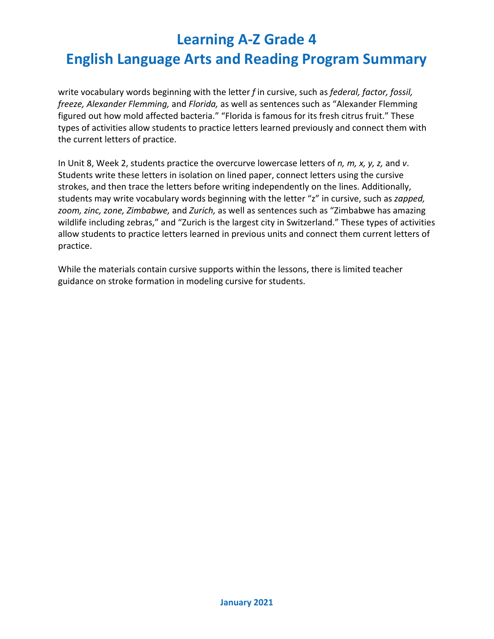write vocabulary words beginning with the letter *f* in cursive, such as *federal, factor, fossil, freeze, Alexander Flemming,* and *Florida,* as well as sentences such as "Alexander Flemming figured out how mold affected bacteria." "Florida is famous for its fresh citrus fruit." These types of activities allow students to practice letters learned previously and connect them with the current letters of practice.

In Unit 8, Week 2, students practice the overcurve lowercase letters of *n, m, x, y, z,* and *v*. Students write these letters in isolation on lined paper, connect letters using the cursive strokes, and then trace the letters before writing independently on the lines. Additionally, students may write vocabulary words beginning with the letter "z" in cursive, such as *zapped, zoom, zinc, zone, Zimbabwe,* and *Zurich,* as well as sentences such as "Zimbabwe has amazing wildlife including zebras," and "Zurich is the largest city in Switzerland." These types of activities allow students to practice letters learned in previous units and connect them current letters of practice.

While the materials contain cursive supports within the lessons, there is limited teacher guidance on stroke formation in modeling cursive for students.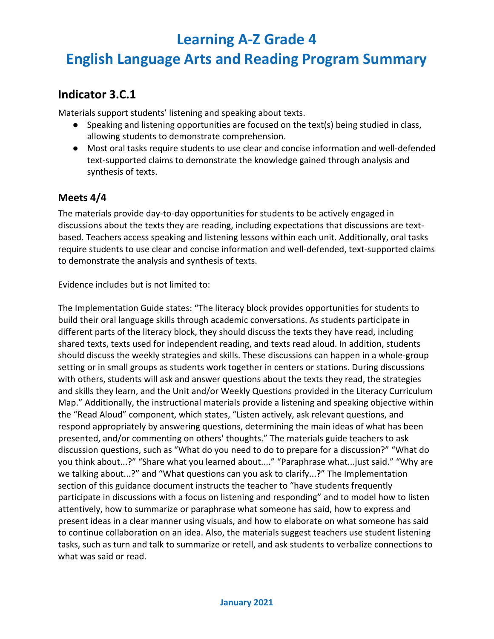## **English Language Arts and Reading Program Summary**

### **Indicator 3.C.1**

Materials support students' listening and speaking about texts.

- $\bullet$  Speaking and listening opportunities are focused on the text(s) being studied in class, allowing students to demonstrate comprehension.
- Most oral tasks require students to use clear and concise information and well-defended text-supported claims to demonstrate the knowledge gained through analysis and synthesis of texts.

#### **Meets 4/4**

The materials provide day-to-day opportunities for students to be actively engaged in discussions about the texts they are reading, including expectations that discussions are textbased. Teachers access speaking and listening lessons within each unit. Additionally, oral tasks require students to use clear and concise information and well-defended, text-supported claims to demonstrate the analysis and synthesis of texts.

Evidence includes but is not limited to:

The Implementation Guide states: "The literacy block provides opportunities for students to build their oral language skills through academic conversations. As students participate in different parts of the literacy block, they should discuss the texts they have read, including shared texts, texts used for independent reading, and texts read aloud. In addition, students should discuss the weekly strategies and skills. These discussions can happen in a whole-group setting or in small groups as students work together in centers or stations. During discussions with others, students will ask and answer questions about the texts they read, the strategies and skills they learn, and the Unit and/or Weekly Questions provided in the Literacy Curriculum Map." Additionally, the instructional materials provide a listening and speaking objective within the "Read Aloud" component, which states, "Listen actively, ask relevant questions, and respond appropriately by answering questions, determining the main ideas of what has been presented, and/or commenting on others' thoughts." The materials guide teachers to ask discussion questions, such as "What do you need to do to prepare for a discussion?" "What do you think about...?" "Share what you learned about...." "Paraphrase what...just said." "Why are we talking about...?" and "What questions can you ask to clarify...?" The Implementation section of this guidance document instructs the teacher to "have students frequently participate in discussions with a focus on listening and responding" and to model how to listen attentively, how to summarize or paraphrase what someone has said, how to express and present ideas in a clear manner using visuals, and how to elaborate on what someone has said to continue collaboration on an idea. Also, the materials suggest teachers use student listening tasks, such as turn and talk to summarize or retell, and ask students to verbalize connections to what was said or read.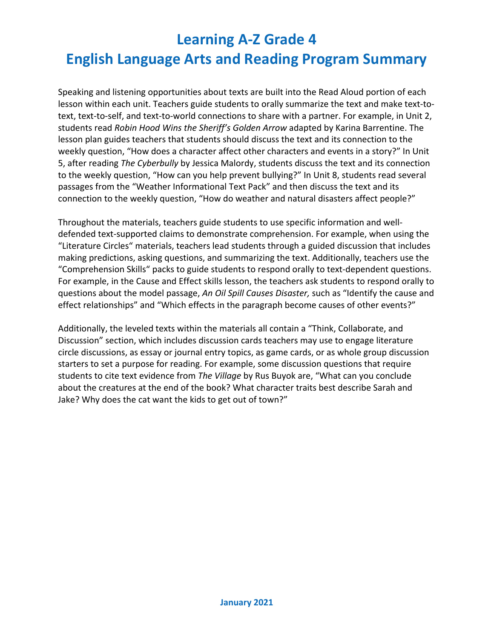Speaking and listening opportunities about texts are built into the Read Aloud portion of each lesson within each unit. Teachers guide students to orally summarize the text and make text-totext, text-to-self, and text-to-world connections to share with a partner. For example, in Unit 2, students read *Robin Hood Wins the Sheriff's Golden Arrow* adapted by Karina Barrentine. The lesson plan guides teachers that students should discuss the text and its connection to the weekly question, "How does a character affect other characters and events in a story?" In Unit 5, after reading *The Cyberbully* by Jessica Malordy, students discuss the text and its connection to the weekly question, "How can you help prevent bullying?" In Unit 8, students read several passages from the "Weather Informational Text Pack" and then discuss the text and its connection to the weekly question, "How do weather and natural disasters affect people?"

Throughout the materials, teachers guide students to use specific information and welldefended text-supported claims to demonstrate comprehension. For example, when using the "Literature Circles" materials, teachers lead students through a guided discussion that includes making predictions, asking questions, and summarizing the text. Additionally, teachers use the "Comprehension Skills" packs to guide students to respond orally to text-dependent questions. For example, in the Cause and Effect skills lesson, the teachers ask students to respond orally to questions about the model passage, *An Oil Spill Causes Disaster,* such as "Identify the cause and effect relationships" and "Which effects in the paragraph become causes of other events?"

Additionally, the leveled texts within the materials all contain a "Think, Collaborate, and Discussion" section, which includes discussion cards teachers may use to engage literature circle discussions, as essay or journal entry topics, as game cards, or as whole group discussion starters to set a purpose for reading. For example, some discussion questions that require students to cite text evidence from *The Village* by Rus Buyok are, "What can you conclude about the creatures at the end of the book? What character traits best describe Sarah and Jake? Why does the cat want the kids to get out of town?"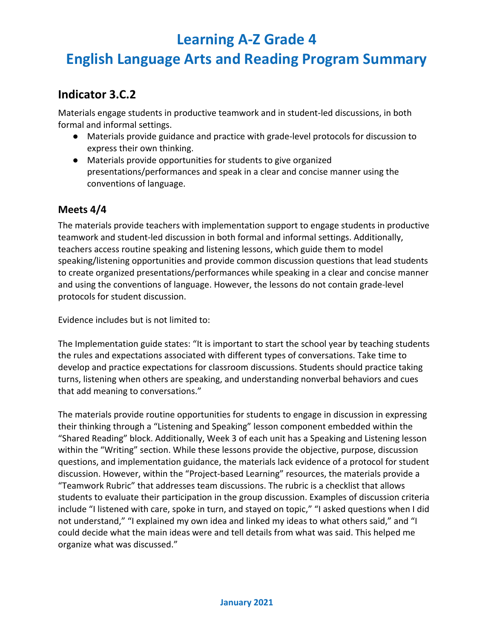## **English Language Arts and Reading Program Summary**

### **Indicator 3.C.2**

Materials engage students in productive teamwork and in student-led discussions, in both formal and informal settings.

- Materials provide guidance and practice with grade-level protocols for discussion to express their own thinking.
- Materials provide opportunities for students to give organized presentations/performances and speak in a clear and concise manner using the conventions of language.

#### **Meets 4/4**

The materials provide teachers with implementation support to engage students in productive teamwork and student-led discussion in both formal and informal settings. Additionally, teachers access routine speaking and listening lessons, which guide them to model speaking/listening opportunities and provide common discussion questions that lead students to create organized presentations/performances while speaking in a clear and concise manner and using the conventions of language. However, the lessons do not contain grade-level protocols for student discussion.

Evidence includes but is not limited to:

The Implementation guide states: "It is important to start the school year by teaching students the rules and expectations associated with different types of conversations. Take time to develop and practice expectations for classroom discussions. Students should practice taking turns, listening when others are speaking, and understanding nonverbal behaviors and cues that add meaning to conversations."

The materials provide routine opportunities for students to engage in discussion in expressing their thinking through a "Listening and Speaking" lesson component embedded within the "Shared Reading" block. Additionally, Week 3 of each unit has a Speaking and Listening lesson within the "Writing" section. While these lessons provide the objective, purpose, discussion questions, and implementation guidance, the materials lack evidence of a protocol for student discussion. However, within the "Project-based Learning" resources, the materials provide a "Teamwork Rubric" that addresses team discussions. The rubric is a checklist that allows students to evaluate their participation in the group discussion. Examples of discussion criteria include "I listened with care, spoke in turn, and stayed on topic," "I asked questions when I did not understand," "I explained my own idea and linked my ideas to what others said," and "I could decide what the main ideas were and tell details from what was said. This helped me organize what was discussed."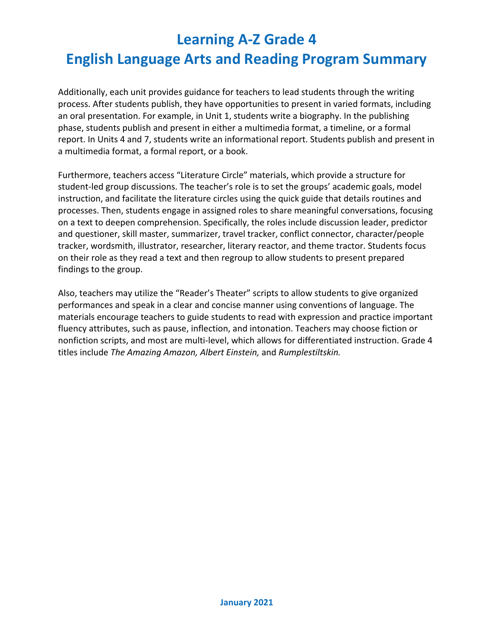Additionally, each unit provides guidance for teachers to lead students through the writing process. After students publish, they have opportunities to present in varied formats, including an oral presentation. For example, in Unit 1, students write a biography. In the publishing phase, students publish and present in either a multimedia format, a timeline, or a formal report. In Units 4 and 7, students write an informational report. Students publish and present in a multimedia format, a formal report, or a book.

Furthermore, teachers access "Literature Circle" materials, which provide a structure for student-led group discussions. The teacher's role is to set the groups' academic goals, model instruction, and facilitate the literature circles using the quick guide that details routines and processes. Then, students engage in assigned roles to share meaningful conversations, focusing on a text to deepen comprehension. Specifically, the roles include discussion leader, predictor and questioner, skill master, summarizer, travel tracker, conflict connector, character/people tracker, wordsmith, illustrator, researcher, literary reactor, and theme tractor. Students focus on their role as they read a text and then regroup to allow students to present prepared findings to the group.

Also, teachers may utilize the "Reader's Theater" scripts to allow students to give organized performances and speak in a clear and concise manner using conventions of language. The materials encourage teachers to guide students to read with expression and practice important fluency attributes, such as pause, inflection, and intonation. Teachers may choose fiction or nonfiction scripts, and most are multi-level, which allows for differentiated instruction. Grade 4 titles include *The Amazing Amazon, Albert Einstein,* and *Rumplestiltskin.*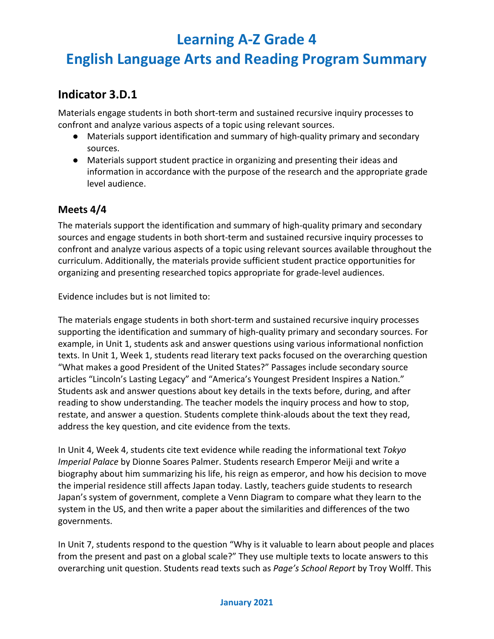## **English Language Arts and Reading Program Summary**

### **Indicator 3.D.1**

Materials engage students in both short-term and sustained recursive inquiry processes to confront and analyze various aspects of a topic using relevant sources.

- Materials support identification and summary of high-quality primary and secondary sources.
- Materials support student practice in organizing and presenting their ideas and information in accordance with the purpose of the research and the appropriate grade level audience.

#### **Meets 4/4**

The materials support the identification and summary of high-quality primary and secondary sources and engage students in both short-term and sustained recursive inquiry processes to confront and analyze various aspects of a topic using relevant sources available throughout the curriculum. Additionally, the materials provide sufficient student practice opportunities for organizing and presenting researched topics appropriate for grade-level audiences.

Evidence includes but is not limited to:

The materials engage students in both short-term and sustained recursive inquiry processes supporting the identification and summary of high-quality primary and secondary sources. For example, in Unit 1, students ask and answer questions using various informational nonfiction texts. In Unit 1, Week 1, students read literary text packs focused on the overarching question "What makes a good President of the United States?" Passages include secondary source articles "Lincoln's Lasting Legacy" and "America's Youngest President Inspires a Nation." Students ask and answer questions about key details in the texts before, during, and after reading to show understanding. The teacher models the inquiry process and how to stop, restate, and answer a question. Students complete think-alouds about the text they read, address the key question, and cite evidence from the texts.

In Unit 4, Week 4, students cite text evidence while reading the informational text *Tokyo Imperial Palace* by Dionne Soares Palmer. Students research Emperor Meiji and write a biography about him summarizing his life, his reign as emperor, and how his decision to move the imperial residence still affects Japan today. Lastly, teachers guide students to research Japan's system of government, complete a Venn Diagram to compare what they learn to the system in the US, and then write a paper about the similarities and differences of the two governments.

In Unit 7, students respond to the question "Why is it valuable to learn about people and places from the present and past on a global scale?" They use multiple texts to locate answers to this overarching unit question. Students read texts such as *Page's School Report* by Troy Wolff. This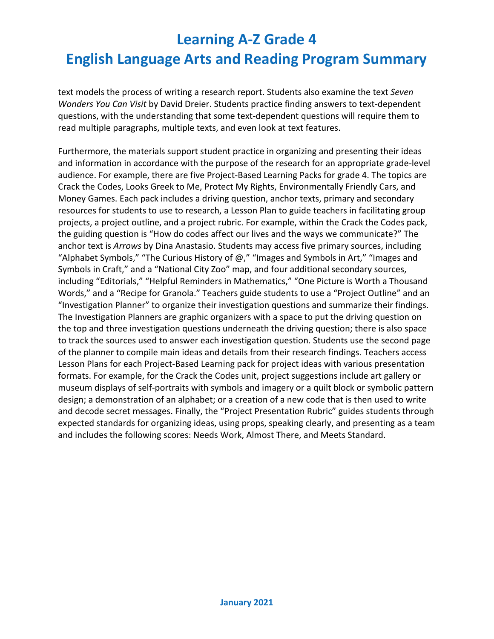text models the process of writing a research report. Students also examine the text *Seven Wonders You Can Visit* by David Dreier. Students practice finding answers to text-dependent questions, with the understanding that some text-dependent questions will require them to read multiple paragraphs, multiple texts, and even look at text features.

Furthermore, the materials support student practice in organizing and presenting their ideas and information in accordance with the purpose of the research for an appropriate grade-level audience. For example, there are five Project-Based Learning Packs for grade 4. The topics are Crack the Codes, Looks Greek to Me, Protect My Rights, Environmentally Friendly Cars, and Money Games. Each pack includes a driving question, anchor texts, primary and secondary resources for students to use to research, a Lesson Plan to guide teachers in facilitating group projects, a project outline, and a project rubric. For example, within the Crack the Codes pack, the guiding question is "How do codes affect our lives and the ways we communicate?" The anchor text is *Arrows* by Dina Anastasio. Students may access five primary sources, including "Alphabet Symbols," "The Curious History of  $\omega$ ," "Images and Symbols in Art," "Images and Symbols in Craft," and a "National City Zoo" map, and four additional secondary sources, including "Editorials," "Helpful Reminders in Mathematics," "One Picture is Worth a Thousand Words," and a "Recipe for Granola." Teachers guide students to use a "Project Outline" and an "Investigation Planner" to organize their investigation questions and summarize their findings. The Investigation Planners are graphic organizers with a space to put the driving question on the top and three investigation questions underneath the driving question; there is also space to track the sources used to answer each investigation question. Students use the second page of the planner to compile main ideas and details from their research findings. Teachers access Lesson Plans for each Project-Based Learning pack for project ideas with various presentation formats. For example, for the Crack the Codes unit, project suggestions include art gallery or museum displays of self-portraits with symbols and imagery or a quilt block or symbolic pattern design; a demonstration of an alphabet; or a creation of a new code that is then used to write and decode secret messages. Finally, the "Project Presentation Rubric" guides students through expected standards for organizing ideas, using props, speaking clearly, and presenting as a team and includes the following scores: Needs Work, Almost There, and Meets Standard.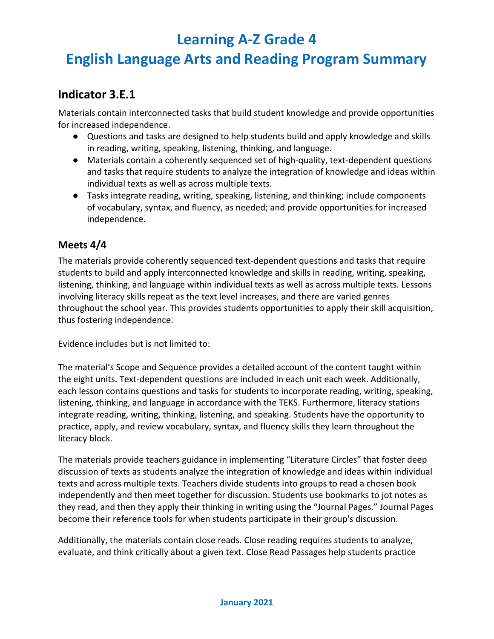## **English Language Arts and Reading Program Summary**

### **Indicator 3.E.1**

Materials contain interconnected tasks that build student knowledge and provide opportunities for increased independence.

- Questions and tasks are designed to help students build and apply knowledge and skills in reading, writing, speaking, listening, thinking, and language.
- Materials contain a coherently sequenced set of high-quality, text-dependent questions and tasks that require students to analyze the integration of knowledge and ideas within individual texts as well as across multiple texts.
- Tasks integrate reading, writing, speaking, listening, and thinking; include components of vocabulary, syntax, and fluency, as needed; and provide opportunities for increased independence.

#### **Meets 4/4**

The materials provide coherently sequenced text-dependent questions and tasks that require students to build and apply interconnected knowledge and skills in reading, writing, speaking, listening, thinking, and language within individual texts as well as across multiple texts. Lessons involving literacy skills repeat as the text level increases, and there are varied genres throughout the school year. This provides students opportunities to apply their skill acquisition, thus fostering independence.

Evidence includes but is not limited to:

The material's Scope and Sequence provides a detailed account of the content taught within the eight units. Text-dependent questions are included in each unit each week. Additionally, each lesson contains questions and tasks for students to incorporate reading, writing, speaking, listening, thinking, and language in accordance with the TEKS. Furthermore, literacy stations integrate reading, writing, thinking, listening, and speaking. Students have the opportunity to practice, apply, and review vocabulary, syntax, and fluency skills they learn throughout the literacy block.

The materials provide teachers guidance in implementing "Literature Circles" that foster deep discussion of texts as students analyze the integration of knowledge and ideas within individual texts and across multiple texts. Teachers divide students into groups to read a chosen book independently and then meet together for discussion. Students use bookmarks to jot notes as they read, and then they apply their thinking in writing using the "Journal Pages." Journal Pages become their reference tools for when students participate in their group's discussion.

Additionally, the materials contain close reads. Close reading requires students to analyze, evaluate, and think critically about a given text. Close Read Passages help students practice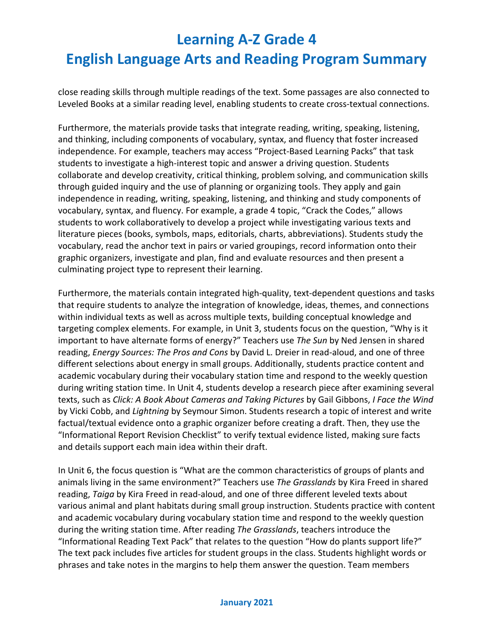close reading skills through multiple readings of the text. Some passages are also connected to Leveled Books at a similar reading level, enabling students to create cross-textual connections.

Furthermore, the materials provide tasks that integrate reading, writing, speaking, listening, and thinking, including components of vocabulary, syntax, and fluency that foster increased independence. For example, teachers may access "Project-Based Learning Packs" that task students to investigate a high-interest topic and answer a driving question. Students collaborate and develop creativity, critical thinking, problem solving, and communication skills through guided inquiry and the use of planning or organizing tools. They apply and gain independence in reading, writing, speaking, listening, and thinking and study components of vocabulary, syntax, and fluency. For example, a grade 4 topic, "Crack the Codes," allows students to work collaboratively to develop a project while investigating various texts and literature pieces (books, symbols, maps, editorials, charts, abbreviations). Students study the vocabulary, read the anchor text in pairs or varied groupings, record information onto their graphic organizers, investigate and plan, find and evaluate resources and then present a culminating project type to represent their learning.

Furthermore, the materials contain integrated high-quality, text-dependent questions and tasks that require students to analyze the integration of knowledge, ideas, themes, and connections within individual texts as well as across multiple texts, building conceptual knowledge and targeting complex elements. For example, in Unit 3, students focus on the question, "Why is it important to have alternate forms of energy?" Teachers use *The Sun* by Ned Jensen in shared reading, *Energy Sources: The Pros and Cons* by David L. Dreier in read-aloud, and one of three different selections about energy in small groups. Additionally, students practice content and academic vocabulary during their vocabulary station time and respond to the weekly question during writing station time. In Unit 4, students develop a research piece after examining several texts, such as *Click: A Book About Cameras and Taking Pictures* by Gail Gibbons, *I Face the Wind*  by Vicki Cobb, and *Lightning* by Seymour Simon. Students research a topic of interest and write factual/textual evidence onto a graphic organizer before creating a draft. Then, they use the "Informational Report Revision Checklist" to verify textual evidence listed, making sure facts and details support each main idea within their draft.

In Unit 6, the focus question is "What are the common characteristics of groups of plants and animals living in the same environment?" Teachers use *The Grasslands* by Kira Freed in shared reading, *Taiga* by Kira Freed in read-aloud, and one of three different leveled texts about various animal and plant habitats during small group instruction. Students practice with content and academic vocabulary during vocabulary station time and respond to the weekly question during the writing station time. After reading *The Grasslands*, teachers introduce the "Informational Reading Text Pack" that relates to the question "How do plants support life?" The text pack includes five articles for student groups in the class. Students highlight words or phrases and take notes in the margins to help them answer the question. Team members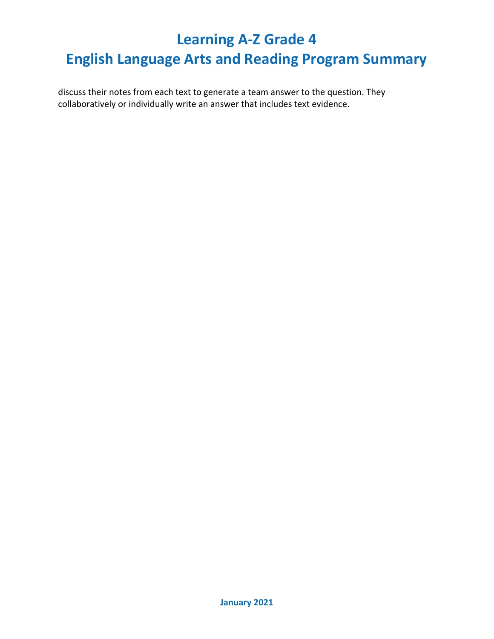discuss their notes from each text to generate a team answer to the question. They collaboratively or individually write an answer that includes text evidence.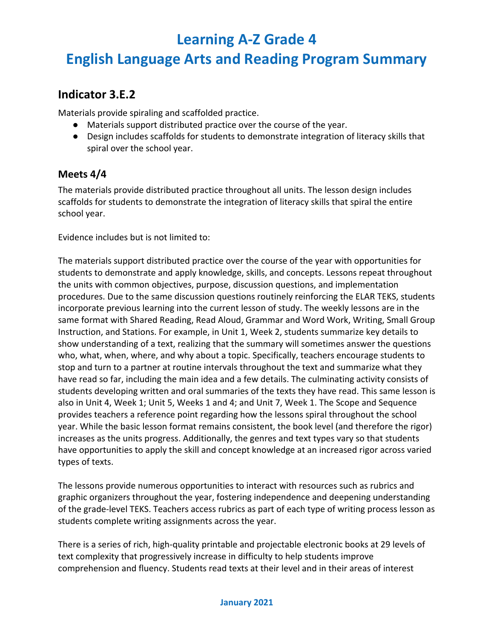## **English Language Arts and Reading Program Summary**

### **Indicator 3.E.2**

Materials provide spiraling and scaffolded practice.

- Materials support distributed practice over the course of the year.
- Design includes scaffolds for students to demonstrate integration of literacy skills that spiral over the school year.

#### **Meets 4/4**

The materials provide distributed practice throughout all units. The lesson design includes scaffolds for students to demonstrate the integration of literacy skills that spiral the entire school year.

Evidence includes but is not limited to:

The materials support distributed practice over the course of the year with opportunities for students to demonstrate and apply knowledge, skills, and concepts. Lessons repeat throughout the units with common objectives, purpose, discussion questions, and implementation procedures. Due to the same discussion questions routinely reinforcing the ELAR TEKS, students incorporate previous learning into the current lesson of study. The weekly lessons are in the same format with Shared Reading, Read Aloud, Grammar and Word Work, Writing, Small Group Instruction, and Stations. For example, in Unit 1, Week 2, students summarize key details to show understanding of a text, realizing that the summary will sometimes answer the questions who, what, when, where, and why about a topic. Specifically, teachers encourage students to stop and turn to a partner at routine intervals throughout the text and summarize what they have read so far, including the main idea and a few details. The culminating activity consists of students developing written and oral summaries of the texts they have read. This same lesson is also in Unit 4, Week 1; Unit 5, Weeks 1 and 4; and Unit 7, Week 1. The Scope and Sequence provides teachers a reference point regarding how the lessons spiral throughout the school year. While the basic lesson format remains consistent, the book level (and therefore the rigor) increases as the units progress. Additionally, the genres and text types vary so that students have opportunities to apply the skill and concept knowledge at an increased rigor across varied types of texts.

The lessons provide numerous opportunities to interact with resources such as rubrics and graphic organizers throughout the year, fostering independence and deepening understanding of the grade-level TEKS. Teachers access rubrics as part of each type of writing process lesson as students complete writing assignments across the year.

There is a series of rich, high-quality printable and projectable electronic books at 29 levels of text complexity that progressively increase in difficulty to help students improve comprehension and fluency. Students read texts at their level and in their areas of interest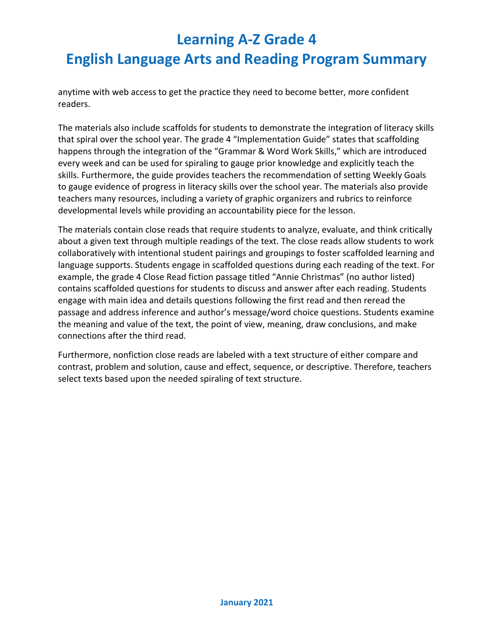anytime with web access to get the practice they need to become better, more confident readers.

The materials also include scaffolds for students to demonstrate the integration of literacy skills that spiral over the school year. The grade 4 "Implementation Guide" states that scaffolding happens through the integration of the "Grammar & Word Work Skills," which are introduced every week and can be used for spiraling to gauge prior knowledge and explicitly teach the skills. Furthermore, the guide provides teachers the recommendation of setting Weekly Goals to gauge evidence of progress in literacy skills over the school year. The materials also provide teachers many resources, including a variety of graphic organizers and rubrics to reinforce developmental levels while providing an accountability piece for the lesson.

The materials contain close reads that require students to analyze, evaluate, and think critically about a given text through multiple readings of the text. The close reads allow students to work collaboratively with intentional student pairings and groupings to foster scaffolded learning and language supports. Students engage in scaffolded questions during each reading of the text. For example, the grade 4 Close Read fiction passage titled "Annie Christmas" (no author listed) contains scaffolded questions for students to discuss and answer after each reading. Students engage with main idea and details questions following the first read and then reread the passage and address inference and author's message/word choice questions. Students examine the meaning and value of the text, the point of view, meaning, draw conclusions, and make connections after the third read.

Furthermore, nonfiction close reads are labeled with a text structure of either compare and contrast, problem and solution, cause and effect, sequence, or descriptive. Therefore, teachers select texts based upon the needed spiraling of text structure.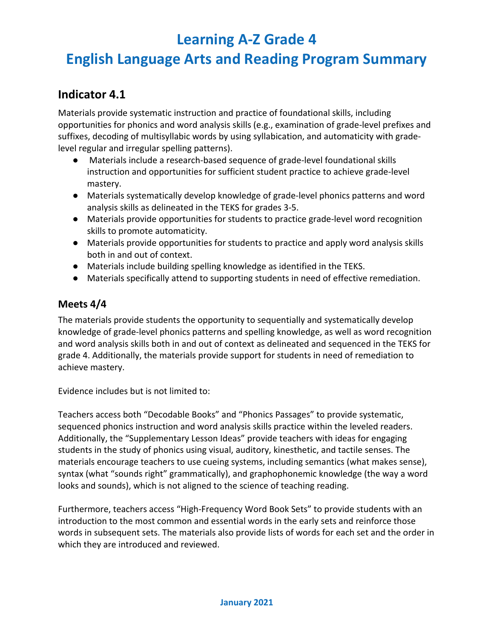## **English Language Arts and Reading Program Summary**

### **Indicator 4.1**

Materials provide systematic instruction and practice of foundational skills, including opportunities for phonics and word analysis skills (e.g., examination of grade-level prefixes and suffixes, decoding of multisyllabic words by using syllabication, and automaticity with gradelevel regular and irregular spelling patterns).

- Materials include a research-based sequence of grade-level foundational skills instruction and opportunities for sufficient student practice to achieve grade-level mastery.
- Materials systematically develop knowledge of grade-level phonics patterns and word analysis skills as delineated in the TEKS for grades 3-5.
- Materials provide opportunities for students to practice grade-level word recognition skills to promote automaticity.
- Materials provide opportunities for students to practice and apply word analysis skills both in and out of context.
- Materials include building spelling knowledge as identified in the TEKS.
- Materials specifically attend to supporting students in need of effective remediation.

#### **Meets 4/4**

The materials provide students the opportunity to sequentially and systematically develop knowledge of grade-level phonics patterns and spelling knowledge, as well as word recognition and word analysis skills both in and out of context as delineated and sequenced in the TEKS for grade 4. Additionally, the materials provide support for students in need of remediation to achieve mastery.

Evidence includes but is not limited to:

Teachers access both "Decodable Books" and "Phonics Passages" to provide systematic, sequenced phonics instruction and word analysis skills practice within the leveled readers. Additionally, the "Supplementary Lesson Ideas" provide teachers with ideas for engaging students in the study of phonics using visual, auditory, kinesthetic, and tactile senses. The materials encourage teachers to use cueing systems, including semantics (what makes sense), syntax (what "sounds right" grammatically), and graphophonemic knowledge (the way a word looks and sounds), which is not aligned to the science of teaching reading.

Furthermore, teachers access "High-Frequency Word Book Sets" to provide students with an introduction to the most common and essential words in the early sets and reinforce those words in subsequent sets. The materials also provide lists of words for each set and the order in which they are introduced and reviewed.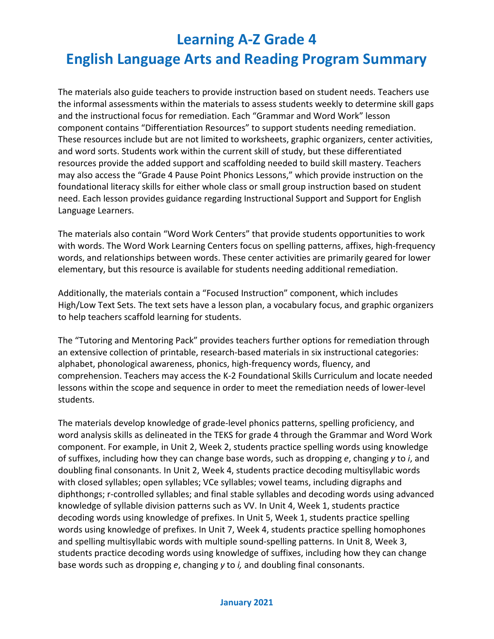The materials also guide teachers to provide instruction based on student needs. Teachers use the informal assessments within the materials to assess students weekly to determine skill gaps and the instructional focus for remediation. Each "Grammar and Word Work" lesson component contains "Differentiation Resources" to support students needing remediation. These resources include but are not limited to worksheets, graphic organizers, center activities, and word sorts. Students work within the current skill of study, but these differentiated resources provide the added support and scaffolding needed to build skill mastery. Teachers may also access the "Grade 4 Pause Point Phonics Lessons," which provide instruction on the foundational literacy skills for either whole class or small group instruction based on student need. Each lesson provides guidance regarding Instructional Support and Support for English Language Learners.

The materials also contain "Word Work Centers" that provide students opportunities to work with words. The Word Work Learning Centers focus on spelling patterns, affixes, high-frequency words, and relationships between words. These center activities are primarily geared for lower elementary, but this resource is available for students needing additional remediation.

Additionally, the materials contain a "Focused Instruction" component, which includes High/Low Text Sets. The text sets have a lesson plan, a vocabulary focus, and graphic organizers to help teachers scaffold learning for students.

The "Tutoring and Mentoring Pack" provides teachers further options for remediation through an extensive collection of printable, research-based materials in six instructional categories: alphabet, phonological awareness, phonics, high-frequency words, fluency, and comprehension. Teachers may access the K-2 Foundational Skills Curriculum and locate needed lessons within the scope and sequence in order to meet the remediation needs of lower-level students.

The materials develop knowledge of grade-level phonics patterns, spelling proficiency, and word analysis skills as delineated in the TEKS for grade 4 through the Grammar and Word Work component. For example, in Unit 2, Week 2, students practice spelling words using knowledge of suffixes, including how they can change base words, such as dropping *e*, changing *y* to *i*, and doubling final consonants. In Unit 2, Week 4, students practice decoding multisyllabic words with closed syllables; open syllables; VCe syllables; vowel teams, including digraphs and diphthongs; r-controlled syllables; and final stable syllables and decoding words using advanced knowledge of syllable division patterns such as VV. In Unit 4, Week 1, students practice decoding words using knowledge of prefixes. In Unit 5, Week 1, students practice spelling words using knowledge of prefixes. In Unit 7, Week 4, students practice spelling homophones and spelling multisyllabic words with multiple sound-spelling patterns. In Unit 8, Week 3, students practice decoding words using knowledge of suffixes, including how they can change base words such as dropping *e*, changing *y* to *i,* and doubling final consonants.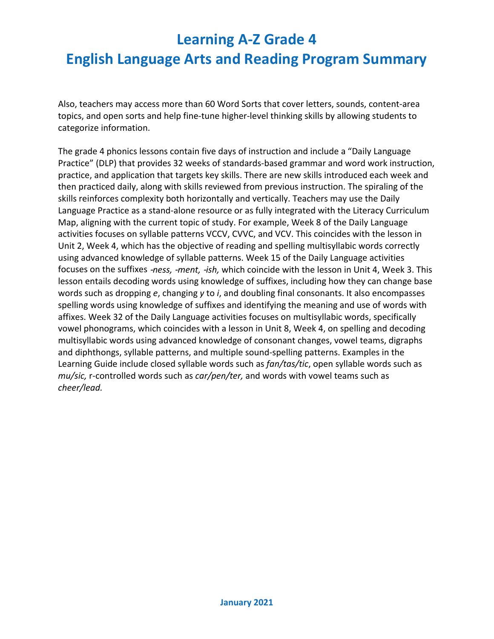Also, teachers may access more than 60 Word Sorts that cover letters, sounds, content-area topics, and open sorts and help fine-tune higher-level thinking skills by allowing students to categorize information.

The grade 4 phonics lessons contain five days of instruction and include a "Daily Language Practice" (DLP) that provides 32 weeks of standards-based grammar and word work instruction, practice, and application that targets key skills. There are new skills introduced each week and then practiced daily, along with skills reviewed from previous instruction. The spiraling of the skills reinforces complexity both horizontally and vertically. Teachers may use the Daily Language Practice as a stand-alone resource or as fully integrated with the [Literacy Curriculum](https://www.raz-plus.com/literacy-curriculum-map/)  [Map,](https://www.raz-plus.com/literacy-curriculum-map/) aligning with the current topic of study. For example, Week 8 of the Daily Language activities focuses on syllable patterns VCCV, CVVC, and VCV. This coincides with the lesson in Unit 2, Week 4, which has the objective of reading and spelling multisyllabic words correctly using advanced knowledge of syllable patterns. Week 15 of the Daily Language activities focuses on the suffixes ‑*ness,* ‑*ment,* ‑*ish,* which coincide with the lesson in Unit 4, Week 3. This lesson entails decoding words using knowledge of suffixes, including how they can change base words such as dropping *e*, changing *y* to *i*, and doubling final consonants. It also encompasses spelling words using knowledge of suffixes and identifying the meaning and use of words with affixes. Week 32 of the Daily Language activities focuses on multisyllabic words, specifically vowel phonograms, which coincides with a lesson in Unit 8, Week 4, on spelling and decoding multisyllabic words using advanced knowledge of consonant changes, vowel teams, digraphs and diphthongs, syllable patterns, and multiple sound-spelling patterns. Examples in the Learning Guide include closed syllable words such as *fan/tas/tic*, open syllable words such as *mu/sic,* r-controlled words such as *car/pen/ter,* and words with vowel teams such as *cheer/lead.*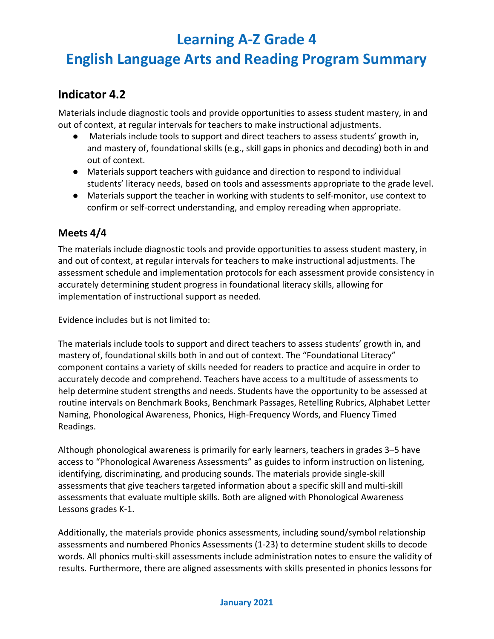## **English Language Arts and Reading Program Summary**

### **Indicator 4.2**

Materials include diagnostic tools and provide opportunities to assess student mastery, in and out of context, at regular intervals for teachers to make instructional adjustments.

- Materials include tools to support and direct teachers to assess students' growth in, and mastery of, foundational skills (e.g., skill gaps in phonics and decoding) both in and out of context.
- Materials support teachers with guidance and direction to respond to individual students' literacy needs, based on tools and assessments appropriate to the grade level.
- Materials support the teacher in working with students to self-monitor, use context to confirm or self-correct understanding, and employ rereading when appropriate.

#### **Meets 4/4**

The materials include diagnostic tools and provide opportunities to assess student mastery, in and out of context, at regular intervals for teachers to make instructional adjustments. The assessment schedule and implementation protocols for each assessment provide consistency in accurately determining student progress in foundational literacy skills, allowing for implementation of instructional support as needed.

Evidence includes but is not limited to:

The materials include tools to support and direct teachers to assess students' growth in, and mastery of, foundational skills both in and out of context. The "Foundational Literacy" component contains a variety of skills needed for readers to practice and acquire in order to accurately decode and comprehend. Teachers have access to a multitude of assessments to help determine student strengths and needs. Students have the opportunity to be assessed at routine intervals on Benchmark Books, Benchmark Passages, Retelling Rubrics, Alphabet Letter Naming, Phonological Awareness, Phonics, High-Frequency Words, and Fluency Timed Readings.

Although phonological awareness is primarily for early learners, teachers in grades 3–5 have access to "Phonological Awareness Assessments" as guides to inform instruction on listening, identifying, discriminating, and producing sounds. The materials provide single-skill assessments that give teachers targeted information about a specific skill and multi-skill assessments that evaluate multiple skills. Both are aligned with Phonological Awareness Lessons grades K-1.

Additionally, the materials provide phonics assessments, including sound/symbol relationship assessments and numbered Phonics Assessments (1-23) to determine student skills to decode words. All phonics multi-skill assessments include administration notes to ensure the validity of results. Furthermore, there are aligned assessments with skills presented in phonics lessons for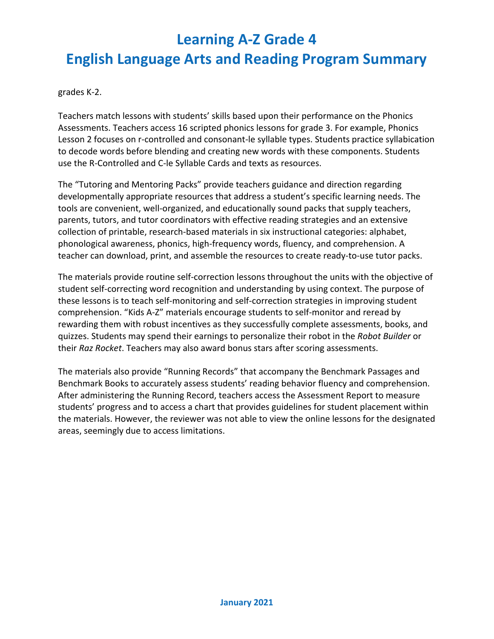grades K-2.

Teachers match lessons with students' skills based upon their performance on the Phonics Assessments. Teachers access 16 scripted phonics lessons for grade 3. For example, Phonics Lesson 2 focuses on r-controlled and consonant-le syllable types. Students practice syllabication to decode words before blending and creating new words with these components. Students use the R-Controlled and C-le Syllable Cards and texts as resources.

The "Tutoring and Mentoring Packs" provide teachers guidance and direction regarding developmentally appropriate resources that address a student's specific learning needs. The tools are convenient, well-organized, and educationally sound packs that supply teachers, parents, tutors, and tutor coordinators with effective reading strategies and an extensive collection of printable, research-based materials in six instructional categories: alphabet, phonological awareness, phonics, high-frequency words, fluency, and comprehension. A teacher can download, print, and assemble the resources to create ready-to-use tutor packs.

The materials provide routine self-correction lessons throughout the units with the objective of student self-correcting word recognition and understanding by using context. The purpose of these lessons is to teach self-monitoring and self-correction strategies in improving student comprehension. "Kids A-Z" materials encourage students to self-monitor and reread by rewarding them with robust incentives as they successfully complete assessments, books, and quizzes. Students may spend their earnings to personalize their robot in the *Robot Builder* or their *Raz Rocket*. Teachers may also award bonus stars after scoring assessments.

The materials also provide "Running Records" that accompany the Benchmark Passages and Benchmark Books to accurately assess students' reading behavior fluency and comprehension. After administering the Running Record, teachers access the Assessment Report to measure students' progress and to access a chart that provides guidelines for student placement within the materials. However, the reviewer was not able to view the online lessons for the designated areas, seemingly due to access limitations.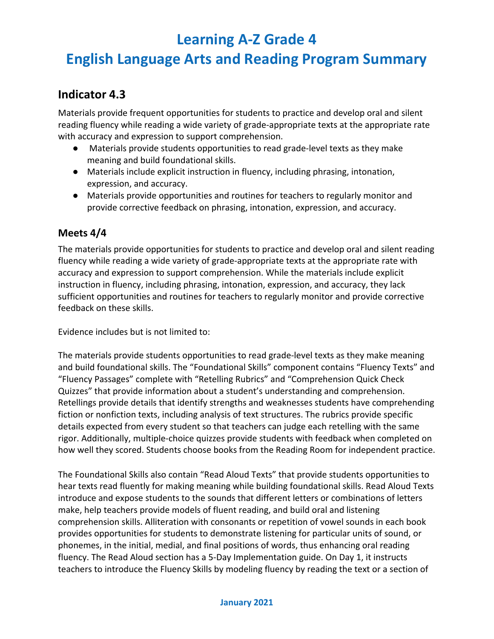## **English Language Arts and Reading Program Summary**

### **Indicator 4.3**

Materials provide frequent opportunities for students to practice and develop oral and silent reading fluency while reading a wide variety of grade-appropriate texts at the appropriate rate with accuracy and expression to support comprehension.

- Materials provide students opportunities to read grade-level texts as they make meaning and build foundational skills.
- Materials include explicit instruction in fluency, including phrasing, intonation, expression, and accuracy.
- Materials provide opportunities and routines for teachers to regularly monitor and provide corrective feedback on phrasing, intonation, expression, and accuracy.

#### **Meets 4/4**

The materials provide opportunities for students to practice and develop oral and silent reading fluency while reading a wide variety of grade-appropriate texts at the appropriate rate with accuracy and expression to support comprehension. While the materials include explicit instruction in fluency, including phrasing, intonation, expression, and accuracy, they lack sufficient opportunities and routines for teachers to regularly monitor and provide corrective feedback on these skills.

Evidence includes but is not limited to:

The materials provide students opportunities to read grade-level texts as they make meaning and build foundational skills. The "Foundational Skills" component contains "Fluency Texts" and "Fluency Passages" complete with "Retelling Rubrics" and "Comprehension Quick Check Quizzes" that provide information about a student's understanding and comprehension. Retellings provide details that identify strengths and weaknesses students have comprehending fiction or nonfiction texts, including analysis of text structures. The rubrics provide specific details expected from every student so that teachers can judge each retelling with the same rigor. Additionally, multiple-choice quizzes provide students with feedback when completed on how well they scored. Students choose books from the Reading Room for independent practice.

The Foundational Skills also contain "Read Aloud Texts" that provide students opportunities to hear texts read fluently for making meaning while building foundational skills. Read Aloud Texts introduce and expose students to the sounds that different letters or combinations of letters make, help teachers provide models of fluent reading, and build oral and listening comprehension skills. Alliteration with consonants or repetition of vowel sounds in each book provides opportunities for students to demonstrate listening for particular units of sound, or phonemes, in the initial, medial, and final positions of words, thus enhancing oral reading fluency. The Read Aloud section has a 5-Day Implementation guide. On Day 1, it instructs teachers to introduce the Fluency Skills by modeling fluency by reading the text or a section of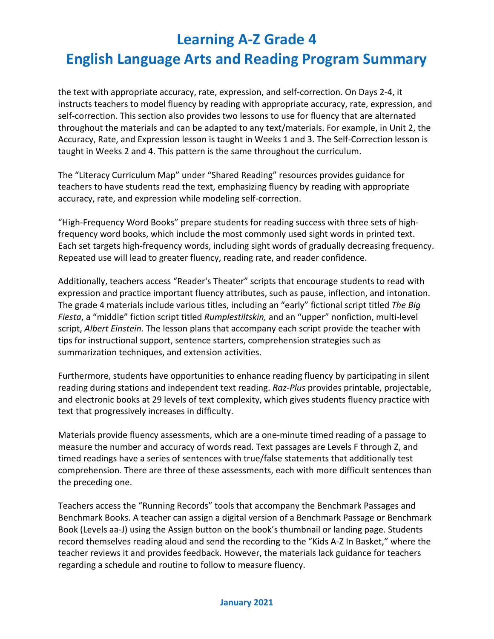the text with appropriate accuracy, rate, expression, and self-correction. On Days 2-4, it instructs teachers to model fluency by reading with appropriate accuracy, rate, expression, and self-correction. This section also provides two lessons to use for fluency that are alternated throughout the materials and can be adapted to any text/materials. For example, in Unit 2, the Accuracy, Rate, and Expression lesson is taught in Weeks 1 and 3. The Self-Correction lesson is taught in Weeks 2 and 4. This pattern is the same throughout the curriculum.

The "Literacy Curriculum Map" under "Shared Reading" resources provides guidance for teachers to have students read the text, emphasizing fluency by reading with appropriate accuracy, rate, and expression while modeling self-correction.

"High-Frequency Word Books" prepare students for reading success with three sets of highfrequency word books, which include the most commonly used sight words in printed text. Each set targets high-frequency words, including sight words of gradually decreasing frequency. Repeated use will lead to greater fluency, reading rate, and reader confidence.

Additionally, teachers access "Reader's Theater" scripts that encourage students to read with expression and practice important fluency attributes, such as pause, inflection, and intonation. The grade 4 materials include various titles, including an "early" fictional script titled *The Big Fiesta*, a "middle" fiction script titled *Rumplestiltskin,* and an "upper" nonfiction, multi-level script, *Albert Einstein*. The lesson plans that accompany each script provide the teacher with tips for instructional support, sentence starters, comprehension strategies such as summarization techniques, and extension activities.

Furthermore, students have opportunities to enhance reading fluency by participating in silent reading during stations and independent text reading. *Raz-Plus* provides printable, projectable, and electronic books at 29 levels of text complexity, which gives students fluency practice with text that progressively increases in difficulty.

Materials provide fluency assessments, which are a one-minute timed reading of a passage to measure the number and accuracy of words read. Text passages are Levels F through Z, and timed readings have a series of sentences with true/false statements that additionally test comprehension. There are three of these assessments, each with more difficult sentences than the preceding one.

Teachers access the "Running Records" tools that accompany the Benchmark Passages and Benchmark Books. A teacher can assign a digital version of a [Benchmark Passage](https://www.raz-plus.com/assessments/benchmark-passages/) or [Benchmark](https://www.raz-plus.com/assessments/benchmark-books/)  [Book](https://www.raz-plus.com/assessments/benchmark-books/) (Levels aa-J) using the Assign button on the book's thumbnail or landing page. Students record themselves reading aloud and send the recording to the "Kids A-Z In Basket," where the teacher reviews it and provides feedback. However, the materials lack guidance for teachers regarding a schedule and routine to follow to measure fluency.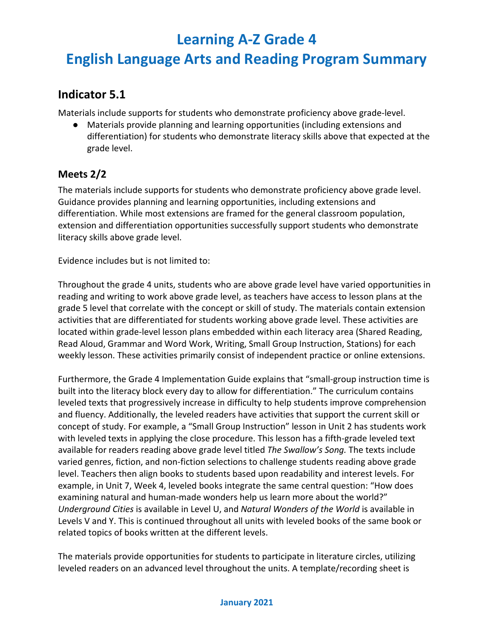## **English Language Arts and Reading Program Summary**

### **Indicator 5.1**

Materials include supports for students who demonstrate proficiency above grade-level.

● Materials provide planning and learning opportunities (including extensions and differentiation) for students who demonstrate literacy skills above that expected at the grade level.

#### **Meets 2/2**

The materials include supports for students who demonstrate proficiency above grade level. Guidance provides planning and learning opportunities, including extensions and differentiation. While most extensions are framed for the general classroom population, extension and differentiation opportunities successfully support students who demonstrate literacy skills above grade level.

Evidence includes but is not limited to:

Throughout the grade 4 units, students who are above grade level have varied opportunities in reading and writing to work above grade level, as teachers have access to lesson plans at the grade 5 level that correlate with the concept or skill of study. The materials contain extension activities that are differentiated for students working above grade level. These activities are located within grade-level lesson plans embedded within each literacy area (Shared Reading, Read Aloud, Grammar and Word Work, Writing, Small Group Instruction, Stations) for each weekly lesson. These activities primarily consist of independent practice or online extensions.

Furthermore, the Grade 4 Implementation Guide explains that "small-group instruction time is built into the literacy block every day to allow for differentiation." The curriculum contains leveled texts that progressively increase in difficulty to help students improve comprehension and fluency. Additionally, the leveled readers have activities that support the current skill or concept of study. For example, a "Small Group Instruction" lesson in Unit 2 has students work with leveled texts in applying the close procedure. This lesson has a fifth-grade leveled text available for readers reading above grade level titled *The Swallow's Song.* The texts include varied genres, fiction, and non-fiction selections to challenge students reading above grade level. Teachers then align books to students based upon readability and interest levels. For example, in Unit 7, Week 4, leveled books integrate the same central question: "How does examining natural and human-made wonders help us learn more about the world?" *Underground Cities* is available in Level U, and *Natural Wonders of the World* is available in Levels V and Y. This is continued throughout all units with leveled books of the same book or related topics of books written at the different levels.

The materials provide opportunities for students to participate in literature circles, utilizing leveled readers on an advanced level throughout the units. A template/recording sheet is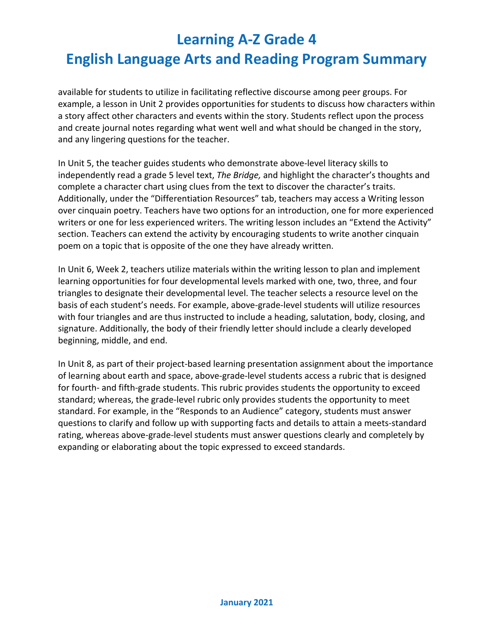available for students to utilize in facilitating reflective discourse among peer groups. For example, a lesson in Unit 2 provides opportunities for students to discuss how characters within a story affect other characters and events within the story. Students reflect upon the process and create journal notes regarding what went well and what should be changed in the story, and any lingering questions for the teacher.

In Unit 5, the teacher guides students who demonstrate above-level literacy skills to independently read a grade 5 level text, *The Bridge,* and highlight the character's thoughts and complete a character chart using clues from the text to discover the character's traits. Additionally, under the "Differentiation Resources" tab, teachers may access a Writing lesson over cinquain poetry. Teachers have two options for an introduction, one for more experienced writers or one for less experienced writers. The writing lesson includes an "Extend the Activity" section. Teachers can extend the activity by encouraging students to write another cinquain poem on a topic that is opposite of the one they have already written.

In Unit 6, Week 2, teachers utilize materials within the writing lesson to plan and implement learning opportunities for four developmental levels marked with one, two, three, and four triangles to designate their developmental level. The teacher selects a resource level on the basis of each student's needs. For example, above-grade-level students will utilize resources with four triangles and are thus instructed to include a heading, salutation, body, closing, and signature. Additionally, the body of their friendly letter should include a clearly developed beginning, middle, and end.

In Unit 8, as part of their project-based learning presentation assignment about the importance of learning about earth and space, above-grade-level students access a rubric that is designed for fourth- and fifth-grade students. This rubric provides students the opportunity to exceed standard; whereas, the grade-level rubric only provides students the opportunity to meet standard. For example, in the "Responds to an Audience" category, students must answer questions to clarify and follow up with supporting facts and details to attain a meets-standard rating, whereas above-grade-level students must answer questions clearly and completely by expanding or elaborating about the topic expressed to exceed standards.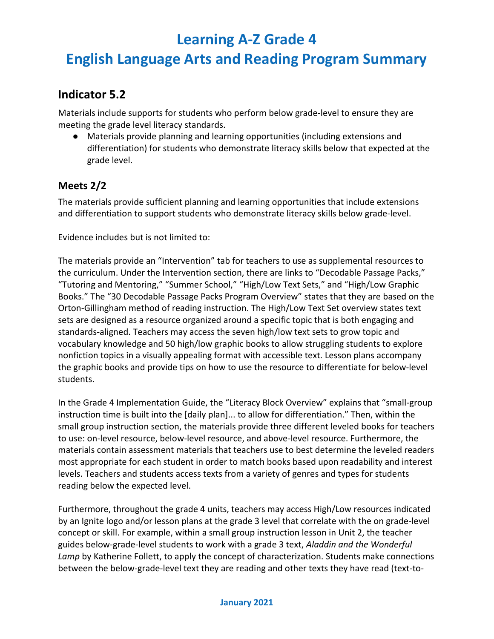## **English Language Arts and Reading Program Summary**

### **Indicator 5.2**

Materials include supports for students who perform below grade-level to ensure they are meeting the grade level literacy standards.

● Materials provide planning and learning opportunities (including extensions and differentiation) for students who demonstrate literacy skills below that expected at the grade level.

#### **Meets 2/2**

The materials provide sufficient planning and learning opportunities that include extensions and differentiation to support students who demonstrate literacy skills below grade-level.

Evidence includes but is not limited to:

The materials provide an "Intervention" tab for teachers to use as supplemental resources to the curriculum. Under the Intervention section, there are links to "Decodable Passage Packs," "Tutoring and Mentoring," "Summer School," "High/Low Text Sets," and "High/Low Graphic Books." The "30 Decodable Passage Packs Program Overview" states that they are based on the Orton-Gillingham method of reading instruction. The High/Low Text Set overview states text sets are designed as a resource organized around a specific topic that is both engaging and standards-aligned. Teachers may access the seven high/low text sets to grow topic and vocabulary knowledge and 50 high/low graphic books to allow struggling students to explore nonfiction topics in a visually appealing format with accessible text. Lesson plans accompany the graphic books and provide tips on how to use the resource to differentiate for below-level students.

In the Grade 4 Implementation Guide, the "Literacy Block Overview" explains that "small-group instruction time is built into the [daily plan]... to allow for differentiation." Then, within the small group instruction section, the materials provide three different leveled books for teachers to use: on-level resource, below-level resource, and above-level resource. Furthermore, the materials contain assessment materials that teachers use to best determine the leveled readers most appropriate for each student in order to match books based upon readability and interest levels. Teachers and students access texts from a variety of genres and types for students reading below the expected level.

Furthermore, throughout the grade 4 units, teachers may access High/Low resources indicated by an Ignite logo and/or lesson plans at the grade 3 level that correlate with the on grade-level concept or skill. For example, within a small group instruction lesson in Unit 2, the teacher guides below-grade-level students to work with a grade 3 text, *Aladdin and the Wonderful Lamp* by Katherine Follett, to apply the concept of characterization. Students make connections between the below-grade-level text they are reading and other texts they have read (text-to-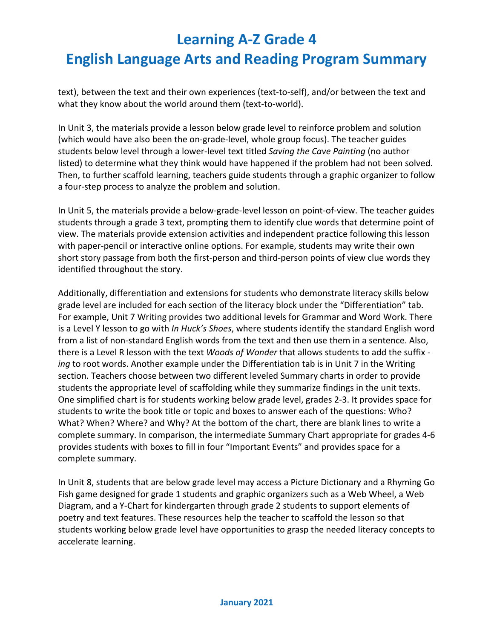text), between the text and their own experiences (text-to-self), and/or between the text and what they know about the world around them (text-to-world).

In Unit 3, the materials provide a lesson below grade level to reinforce problem and solution (which would have also been the on-grade-level, whole group focus). The teacher guides students below level through a lower-level text titled *Saving the Cave Painting* (no author listed) to determine what they think would have happened if the problem had not been solved. Then, to further scaffold learning, teachers guide students through a graphic organizer to follow a four-step process to analyze the problem and solution.

In Unit 5, the materials provide a below-grade-level lesson on point-of-view. The teacher guides students through a grade 3 text, prompting them to identify clue words that determine point of view. The materials provide extension activities and independent practice following this lesson with paper-pencil or interactive online options. For example, students may write their own short story passage from both the first-person and third-person points of view clue words they identified throughout the story.

Additionally, differentiation and extensions for students who demonstrate literacy skills below grade level are included for each section of the literacy block under the "Differentiation" tab. For example, Unit 7 Writing provides two additional levels for Grammar and Word Work. There is a Level Y lesson to go with *In Huck's Shoes*, where students identify the standard English word from a list of non-standard English words from the text and then use them in a sentence. Also, there is a Level R lesson with the text *Woods of Wonder* that allows students to add the suffix  *ing* to root words. Another example under the Differentiation tab is in Unit 7 in the Writing section. Teachers choose between two different leveled Summary charts in order to provide students the appropriate level of scaffolding while they summarize findings in the unit texts. One simplified chart is for students working below grade level, grades 2-3. It provides space for students to write the book title or topic and boxes to answer each of the questions: Who? What? When? Where? and Why? At the bottom of the chart, there are blank lines to write a complete summary. In comparison, the intermediate Summary Chart appropriate for grades 4-6 provides students with boxes to fill in four "Important Events" and provides space for a complete summary.

In Unit 8, students that are below grade level may access a Picture Dictionary and a Rhyming Go Fish game designed for grade 1 students and graphic organizers such as a Web Wheel, a Web Diagram, and a Y-Chart for kindergarten through grade 2 students to support elements of poetry and text features. These resources help the teacher to scaffold the lesson so that students working below grade level have opportunities to grasp the needed literacy concepts to accelerate learning.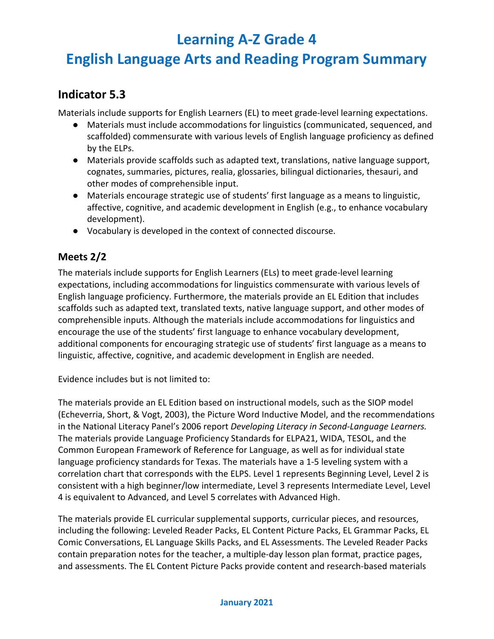## **English Language Arts and Reading Program Summary**

### **Indicator 5.3**

Materials include supports for English Learners (EL) to meet grade-level learning expectations.

- Materials must include accommodations for linguistics (communicated, sequenced, and scaffolded) commensurate with various levels of English language proficiency as defined by the ELPs.
- Materials provide scaffolds such as adapted text, translations, native language support, cognates, summaries, pictures, realia, glossaries, bilingual dictionaries, thesauri, and other modes of comprehensible input.
- Materials encourage strategic use of students' first language as a means to linguistic, affective, cognitive, and academic development in English (e.g., to enhance vocabulary development).
- Vocabulary is developed in the context of connected discourse.

#### **Meets 2/2**

The materials include supports for English Learners (ELs) to meet grade-level learning expectations, including accommodations for linguistics commensurate with various levels of English language proficiency. Furthermore, the materials provide an EL Edition that includes scaffolds such as adapted text, translated texts, native language support, and other modes of comprehensible inputs. Although the materials include accommodations for linguistics and encourage the use of the students' first language to enhance vocabulary development, additional components for encouraging strategic use of students' first language as a means to linguistic, affective, cognitive, and academic development in English are needed.

Evidence includes but is not limited to:

The materials provide an EL Edition based on instructional models, such as the SIOP model (Echeverria, Short, & Vogt, 2003), the Picture Word Inductive Model, and the recommendations in the National Literacy Panel's 2006 report *Developing Literacy in Second-Language Learners.* The materials provide Language Proficiency Standards for ELPA21, WIDA, TESOL, and the Common European Framework of Reference for Language, as well as for individual state language proficiency standards for Texas. The materials have a 1-5 leveling system with a correlation chart that corresponds with the ELPS. Level 1 represents Beginning Level, Level 2 is consistent with a high beginner/low intermediate, Level 3 represents Intermediate Level, Level 4 is equivalent to Advanced, and Level 5 correlates with Advanced High.

The materials provide EL curricular supplemental supports, curricular pieces, and resources, including the following: Leveled Reader Packs, EL Content Picture Packs, EL Grammar Packs, EL Comic Conversations, EL Language Skills Packs, and EL Assessments. The Leveled Reader Packs contain preparation notes for the teacher, a multiple-day lesson plan format, practice pages, and assessments. The EL Content Picture Packs provide content and research-based materials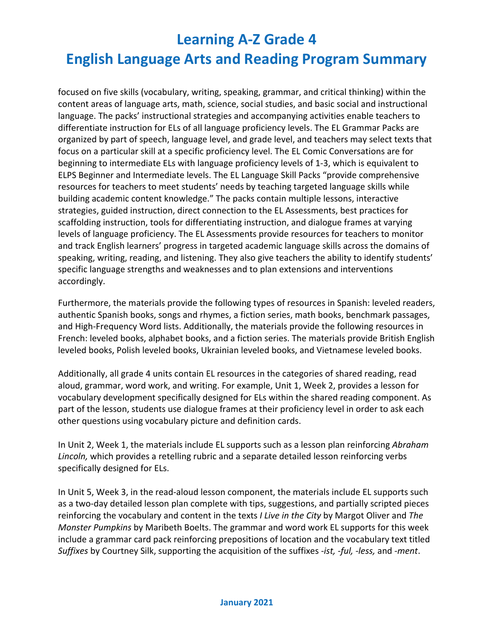focused on five skills (vocabulary, writing, speaking, grammar, and critical thinking) within the content areas of language arts, math, science, social studies, and basic social and instructional language. The packs' instructional strategies and accompanying activities enable teachers to differentiate instruction for ELs of all language proficiency levels. The EL Grammar Packs are organized by part of speech, language level, and grade level, and teachers may select texts that focus on a particular skill at a specific proficiency level. The EL Comic Conversations are for beginning to intermediate ELs with language proficiency levels of 1-3, which is equivalent to ELPS Beginner and Intermediate levels. The EL Language Skill Packs "provide comprehensive resources for teachers to meet students' needs by teaching targeted language skills while building academic content knowledge." The packs contain multiple lessons, interactive strategies, guided instruction, direct connection to the EL Assessments, best practices for scaffolding instruction, tools for differentiating instruction, and dialogue frames at varying levels of language proficiency. The EL Assessments provide resources for teachers to monitor and track English learners' progress in targeted academic language skills across the domains of speaking, writing, reading, and listening. They also give teachers the ability to identify students' specific language strengths and weaknesses and to plan extensions and interventions accordingly.

Furthermore, the materials provide the following types of resources in Spanish: leveled readers, authentic Spanish books, songs and rhymes, a fiction series, math books, benchmark passages, and High-Frequency Word lists. Additionally, the materials provide the following resources in French: leveled books, alphabet books, and a fiction series. The materials provide British English leveled books, Polish leveled books, Ukrainian leveled books, and Vietnamese leveled books.

Additionally, all grade 4 units contain EL resources in the categories of shared reading, read aloud, grammar, word work, and writing. For example, Unit 1, Week 2, provides a lesson for vocabulary development specifically designed for ELs within the shared reading component. As part of the lesson, students use dialogue frames at their proficiency level in order to ask each other questions using vocabulary picture and definition cards.

In Unit 2, Week 1, the materials include EL supports such as a lesson plan reinforcing *Abraham Lincoln,* which provides a retelling rubric and a separate detailed lesson reinforcing verbs specifically designed for ELs.

In Unit 5, Week 3, in the read-aloud lesson component, the materials include EL supports such as a two-day detailed lesson plan complete with tips, suggestions, and partially scripted pieces reinforcing the vocabulary and content in the texts *I Live in the City* by Margot Oliver and *The Monster Pumpkins* by Maribeth Boelts. The grammar and word work EL supports for this week include a grammar card pack reinforcing prepositions of location and the vocabulary text titled *Suffixes* by Courtney Silk, supporting the acquisition of the suffixes *-ist, -ful, -less,* and *-ment*.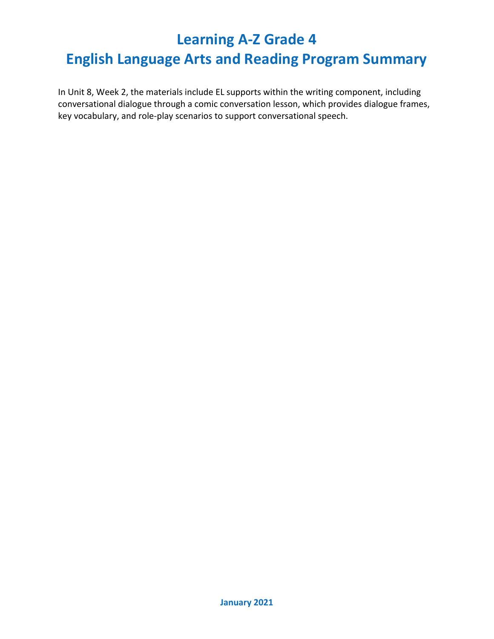## **English Language Arts and Reading Program Summary**

In Unit 8, Week 2, the materials include EL supports within the writing component, including conversational dialogue through a comic conversation lesson, which provides dialogue frames, key vocabulary, and role-play scenarios to support conversational speech.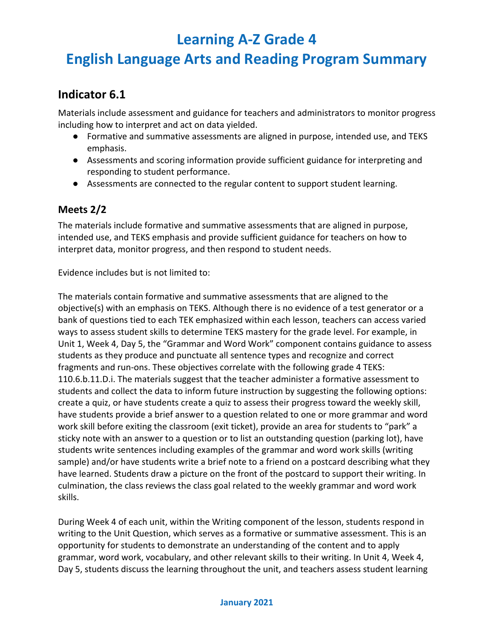## **English Language Arts and Reading Program Summary**

### **Indicator 6.1**

Materials include assessment and guidance for teachers and administrators to monitor progress including how to interpret and act on data yielded.

- Formative and summative assessments are aligned in purpose, intended use, and TEKS emphasis.
- Assessments and scoring information provide sufficient guidance for interpreting and responding to student performance.
- Assessments are connected to the regular content to support student learning.

#### **Meets 2/2**

The materials include formative and summative assessments that are aligned in purpose, intended use, and TEKS emphasis and provide sufficient guidance for teachers on how to interpret data, monitor progress, and then respond to student needs.

Evidence includes but is not limited to:

The materials contain formative and summative assessments that are aligned to the objective(s) with an emphasis on TEKS. Although there is no evidence of a test generator or a bank of questions tied to each TEK emphasized within each lesson, teachers can access varied ways to assess student skills to determine TEKS mastery for the grade level. For example, in Unit 1, Week 4, Day 5, the "Grammar and Word Work" component contains guidance to assess students as they produce and punctuate all sentence types and recognize and correct fragments and run-ons. These objectives correlate with the following grade 4 TEKS: 110.6.b.11.D.i. The materials suggest that the teacher administer a formative assessment to students and collect the data to inform future instruction by suggesting the following options: create a quiz, or have students create a quiz to assess their progress toward the weekly skill, have students provide a brief answer to a question related to one or more grammar and word work skill before exiting the classroom (exit ticket), provide an area for students to "park" a sticky note with an answer to a question or to list an outstanding question (parking lot), have students write sentences including examples of the grammar and word work skills (writing sample) and/or have students write a brief note to a friend on a postcard describing what they have learned. Students draw a picture on the front of the postcard to support their writing. In culmination, the class reviews the class goal related to the weekly grammar and word work skills.

During Week 4 of each unit, within the Writing component of the lesson, students respond in writing to the Unit Question, which serves as a formative or summative assessment. This is an opportunity for students to demonstrate an understanding of the content and to apply grammar, word work, vocabulary, and other relevant skills to their writing. In Unit 4, Week 4, Day 5, students discuss the learning throughout the unit, and teachers assess student learning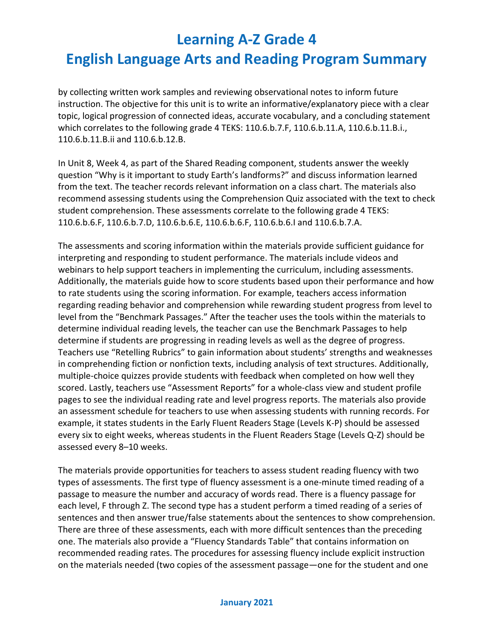by collecting written work samples and reviewing observational notes to inform future instruction. The objective for this unit is to write an informative/explanatory piece with a clear topic, logical progression of connected ideas, accurate vocabulary, and a concluding statement which correlates to the following grade 4 TEKS: 110.6.b.7.F, 110.6.b.11.A, 110.6.b.11.B.i., 110.6.b.11.B.ii and 110.6.b.12.B.

In Unit 8, Week 4, as part of the Shared Reading component, students answer the weekly question "Why is it important to study Earth's landforms?" and discuss information learned from the text. The teacher records relevant information on a class chart. The materials also recommend assessing students using the Comprehension Quiz associated with the text to check student comprehension. These assessments correlate to the following grade 4 TEKS: 110.6.b.6.F, 110.6.b.7.D, 110.6.b.6.E, 110.6.b.6.F, 110.6.b.6.I and 110.6.b.7.A.

The assessments and scoring information within the materials provide sufficient guidance for interpreting and responding to student performance. The materials include videos and webinars to help support teachers in implementing the curriculum, including assessments. Additionally, the materials guide how to score students based upon their performance and how to rate students using the scoring information. For example, teachers access information regarding reading behavior and comprehension while rewarding student progress from level to level from the "Benchmark Passages." After the teacher uses the tools within the materials to determine individual reading levels, the teacher can use the Benchmark Passages to help determine if students are progressing in reading levels as well as the degree of progress. Teachers use "Retelling Rubrics" to gain information about students' strengths and weaknesses in comprehending fiction or nonfiction texts, including analysis of text structures. Additionally, multiple-choice quizzes provide students with feedback when completed on how well they scored. Lastly, teachers use ["Assessment Reports"](https://www.raz-plus.com/learninga-z-levels/assessing-a-students-level/) for a whole-class view and student profile pages to see the individual reading rate and level progress reports. The materials also provide an assessment schedule for teachers to use when assessing students with running records. For example, it states students in the Early Fluent Readers Stage (Levels K-P) should be assessed every six to eight weeks, whereas students in the Fluent Readers Stage (Levels Q-Z) should be assessed every 8–10 weeks.

The materials provide opportunities for teachers to assess student reading fluency with two types of assessments. The first type of fluency assessment is a one-minute timed reading of a passage to measure the number and accuracy of words read. There is a fluency passage for each level, F through Z. The second type has a student perform a timed reading of a series of sentences and then answer true/false statements about the sentences to show comprehension. There are three of these assessments, each with more difficult sentences than the preceding one. The materials also provide a "Fluency Standards Table" that contains information on recommended reading rates. The procedures for assessing fluency include explicit instruction on the materials needed (two copies of the assessment passage—one for the student and one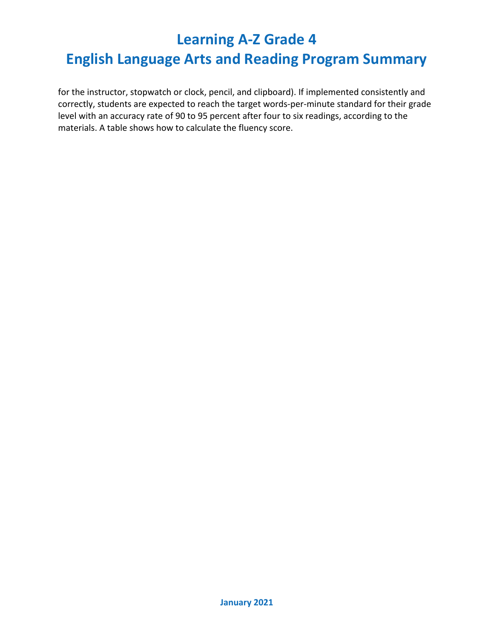## **English Language Arts and Reading Program Summary**

for the instructor, stopwatch or clock, pencil, and clipboard). If implemented consistently and correctly, students are expected to reach the target words-per-minute standard for their grade level with an accuracy rate of 90 to 95 percent after four to six readings, according to the materials. A table shows how to calculate the fluency score.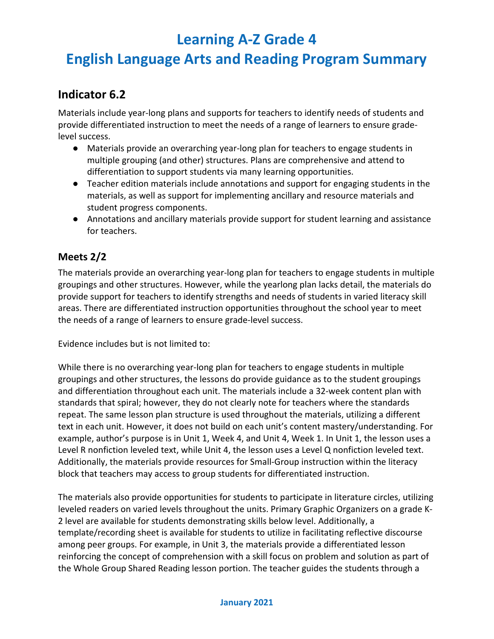## **English Language Arts and Reading Program Summary**

### **Indicator 6.2**

Materials include year-long plans and supports for teachers to identify needs of students and provide differentiated instruction to meet the needs of a range of learners to ensure gradelevel success.

- Materials provide an overarching year-long plan for teachers to engage students in multiple grouping (and other) structures. Plans are comprehensive and attend to differentiation to support students via many learning opportunities.
- Teacher edition materials include annotations and support for engaging students in the materials, as well as support for implementing ancillary and resource materials and student progress components.
- Annotations and ancillary materials provide support for student learning and assistance for teachers.

#### **Meets 2/2**

The materials provide an overarching year-long plan for teachers to engage students in multiple groupings and other structures. However, while the yearlong plan lacks detail, the materials do provide support for teachers to identify strengths and needs of students in varied literacy skill areas. There are differentiated instruction opportunities throughout the school year to meet the needs of a range of learners to ensure grade-level success.

Evidence includes but is not limited to:

While there is no overarching year-long plan for teachers to engage students in multiple groupings and other structures, the lessons do provide guidance as to the student groupings and differentiation throughout each unit. The materials include a 32-week content plan with standards that spiral; however, they do not clearly note for teachers where the standards repeat. The same lesson plan structure is used throughout the materials, utilizing a different text in each unit. However, it does not build on each unit's content mastery/understanding. For example, author's purpose is in Unit 1, Week 4, and Unit 4, Week 1. In Unit 1, the lesson uses a Level R nonfiction leveled text, while Unit 4, the lesson uses a Level Q nonfiction leveled text. Additionally, the materials provide resources for Small-Group instruction within the literacy block that teachers may access to group students for differentiated instruction.

The materials also provide opportunities for students to participate in literature circles, utilizing leveled readers on varied levels throughout the units. Primary Graphic Organizers on a grade K-2 level are available for students demonstrating skills below level. Additionally, a template/recording sheet is available for students to utilize in facilitating reflective discourse among peer groups. For example, in Unit 3, the materials provide a differentiated lesson reinforcing the concept of comprehension with a skill focus on problem and solution as part of the Whole Group Shared Reading lesson portion. The teacher guides the students through a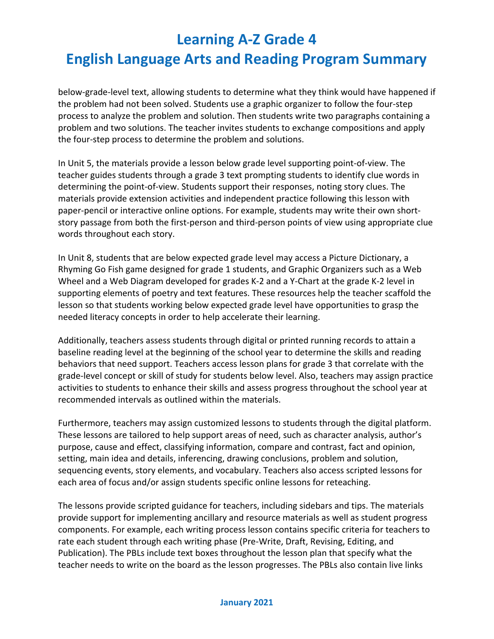below-grade-level text, allowing students to determine what they think would have happened if the problem had not been solved. Students use a graphic organizer to follow the four-step process to analyze the problem and solution. Then students write two paragraphs containing a problem and two solutions. The teacher invites students to exchange compositions and apply the four-step process to determine the problem and solutions.

In Unit 5, the materials provide a lesson below grade level supporting point-of-view. The teacher guides students through a grade 3 text prompting students to identify clue words in determining the point-of-view. Students support their responses, noting story clues. The materials provide extension activities and independent practice following this lesson with paper-pencil or interactive online options. For example, students may write their own shortstory passage from both the first-person and third-person points of view using appropriate clue words throughout each story.

In Unit 8, students that are below expected grade level may access a Picture Dictionary, a Rhyming Go Fish game designed for grade 1 students, and Graphic Organizers such as a Web Wheel and a Web Diagram developed for grades K-2 and a Y-Chart at the grade K-2 level in supporting elements of poetry and text features. These resources help the teacher scaffold the lesson so that students working below expected grade level have opportunities to grasp the needed literacy concepts in order to help accelerate their learning.

Additionally, teachers assess students through digital or printed running records to attain a baseline reading level at the beginning of the school year to determine the skills and reading behaviors that need support. Teachers access lesson plans for grade 3 that correlate with the grade-level concept or skill of study for students below level. Also, teachers may assign practice activities to students to enhance their skills and assess progress throughout the school year at recommended intervals as outlined within the materials.

Furthermore, teachers may assign customized lessons to students through the digital platform. These lessons are tailored to help support areas of need, such as character analysis, author's purpose, cause and effect, classifying information, compare and contrast, fact and opinion, setting, main idea and details, inferencing, drawing conclusions, problem and solution, sequencing events, story elements, and vocabulary. Teachers also access scripted lessons for each area of focus and/or assign students specific online lessons for reteaching.

The lessons provide scripted guidance for teachers, including sidebars and tips. The materials provide support for implementing ancillary and resource materials as well as student progress components. For example, each writing process lesson contains specific criteria for teachers to rate each student through each writing phase (Pre-Write, Draft, Revising, Editing, and Publication). The PBLs include text boxes throughout the lesson plan that specify what the teacher needs to write on the board as the lesson progresses. The PBLs also contain live links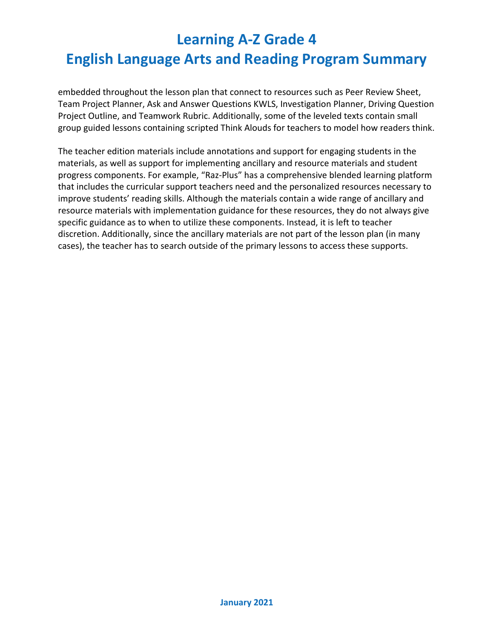embedded throughout the lesson plan that connect to resources such as Peer Review Sheet, Team Project Planner, Ask and Answer Questions KWLS, Investigation Planner, Driving Question Project Outline, and Teamwork Rubric. Additionally, some of the leveled texts contain small group guided lessons containing scripted Think Alouds for teachers to model how readers think.

The teacher edition materials include annotations and support for engaging students in the materials, as well as support for implementing ancillary and resource materials and student progress components. For example, "Raz-Plus" has a comprehensive blended learning platform that includes the curricular support teachers need and the personalized resources necessary to improve students' reading skills. Although the materials contain a wide range of ancillary and resource materials with implementation guidance for these resources, they do not always give specific guidance as to when to utilize these components. Instead, it is left to teacher discretion. Additionally, since the ancillary materials are not part of the lesson plan (in many cases), the teacher has to search outside of the primary lessons to access these supports.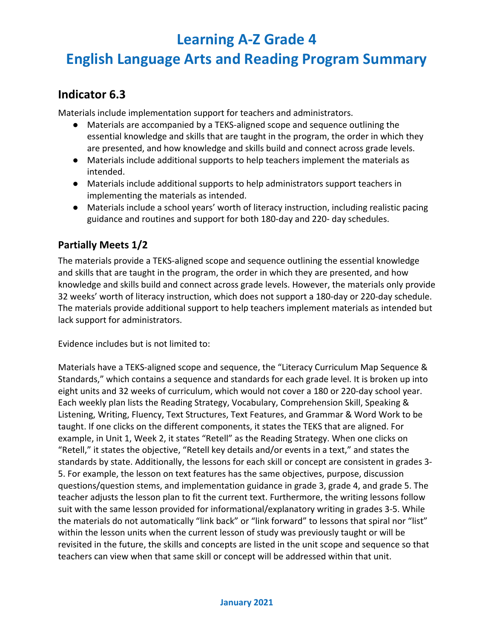## **English Language Arts and Reading Program Summary**

### **Indicator 6.3**

Materials include implementation support for teachers and administrators.

- Materials are accompanied by a TEKS-aligned scope and sequence outlining the essential knowledge and skills that are taught in the program, the order in which they are presented, and how knowledge and skills build and connect across grade levels.
- Materials include additional supports to help teachers implement the materials as intended.
- Materials include additional supports to help administrators support teachers in implementing the materials as intended.
- Materials include a school years' worth of literacy instruction, including realistic pacing guidance and routines and support for both 180-day and 220- day schedules.

#### **Partially Meets 1/2**

The materials provide a TEKS-aligned scope and sequence outlining the essential knowledge and skills that are taught in the program, the order in which they are presented, and how knowledge and skills build and connect across grade levels. However, the materials only provide 32 weeks' worth of literacy instruction, which does not support a 180-day or 220-day schedule. The materials provide additional support to help teachers implement materials as intended but lack support for administrators.

Evidence includes but is not limited to:

Materials have a TEKS-aligned scope and sequence, the "Literacy Curriculum Map Sequence & Standards," which contains a sequence and standards for each grade level. It is broken up into eight units and 32 weeks of curriculum, which would not cover a 180 or 220-day school year. Each weekly plan lists the Reading Strategy, Vocabulary, Comprehension Skill, Speaking & Listening, Writing, Fluency, Text Structures, Text Features, and Grammar & Word Work to be taught. If one clicks on the different components, it states the TEKS that are aligned. For example, in Unit 1, Week 2, it states "Retell" as the Reading Strategy. When one clicks on "Retell," it states the objective, "Retell key details and/or events in a text," and states the standards by state. Additionally, the lessons for each skill or concept are consistent in grades 3- 5. For example, the lesson on text features has the same objectives, purpose, discussion questions/question stems, and implementation guidance in grade 3, grade 4, and grade 5. The teacher adjusts the lesson plan to fit the current text. Furthermore, the writing lessons follow suit with the same lesson provided for informational/explanatory writing in grades 3-5. While the materials do not automatically "link back" or "link forward" to lessons that spiral nor "list" within the lesson units when the current lesson of study was previously taught or will be revisited in the future, the skills and concepts are listed in the unit scope and sequence so that teachers can view when that same skill or concept will be addressed within that unit.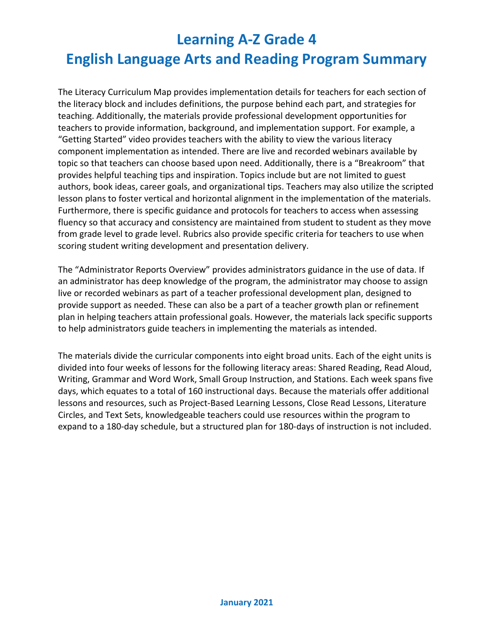The Literacy Curriculum Map provides implementation details for teachers for each section of the literacy block and includes definitions, the purpose behind each part, and strategies for teaching. Additionally, the materials provide professional development opportunities for teachers to provide information, background, and implementation support. For example, a "Getting Started" video provides teachers with the ability to view the various literacy component implementation as intended. There are live and recorded webinars available by topic so that teachers can choose based upon need. Additionally, there is a "Breakroom" that provides helpful teaching tips and inspiration. Topics include but are not limited to guest authors, book ideas, career goals, and organizational tips. Teachers may also utilize the scripted lesson plans to foster vertical and horizontal alignment in the implementation of the materials. Furthermore, there is specific guidance and protocols for teachers to access when assessing fluency so that accuracy and consistency are maintained from student to student as they move from grade level to grade level. Rubrics also provide specific criteria for teachers to use when scoring student writing development and presentation delivery.

The "Administrator Reports Overview" provides administrators guidance in the use of data. If an administrator has deep knowledge of the program, the administrator may choose to assign live or recorded webinars as part of a teacher professional development plan, designed to provide support as needed. These can also be a part of a teacher growth plan or refinement plan in helping teachers attain professional goals. However, the materials lack specific supports to help administrators guide teachers in implementing the materials as intended.

The materials divide the curricular components into eight broad units. Each of the eight units is divided into four weeks of lessons for the following literacy areas: Shared Reading, Read Aloud, Writing, Grammar and Word Work, Small Group Instruction, and Stations. Each week spans five days, which equates to a total of 160 instructional days. Because the materials offer additional lessons and resources, such as Project-Based Learning Lessons, Close Read Lessons, Literature Circles, and Text Sets, knowledgeable teachers could use resources within the program to expand to a 180-day schedule, but a structured plan for 180-days of instruction is not included.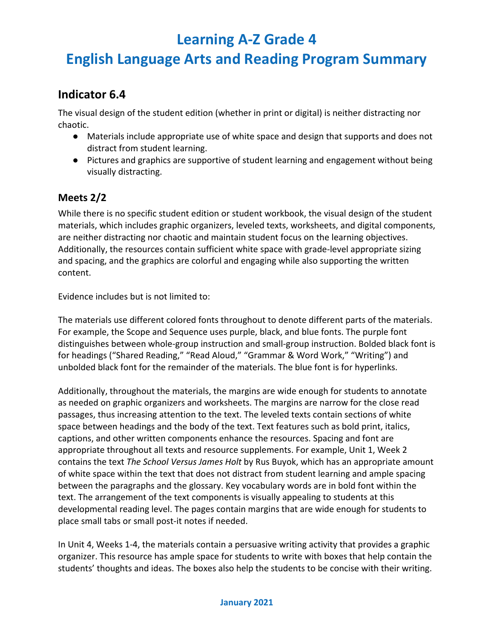## **English Language Arts and Reading Program Summary**

### **Indicator 6.4**

The visual design of the student edition (whether in print or digital) is neither distracting nor chaotic.

- Materials include appropriate use of white space and design that supports and does not distract from student learning.
- Pictures and graphics are supportive of student learning and engagement without being visually distracting.

#### **Meets 2/2**

While there is no specific student edition or student workbook, the visual design of the student materials, which includes graphic organizers, leveled texts, worksheets, and digital components, are neither distracting nor chaotic and maintain student focus on the learning objectives. Additionally, the resources contain sufficient white space with grade-level appropriate sizing and spacing, and the graphics are colorful and engaging while also supporting the written content.

Evidence includes but is not limited to:

The materials use different colored fonts throughout to denote different parts of the materials. For example, the Scope and Sequence uses purple, black, and blue fonts. The purple font distinguishes between whole-group instruction and small-group instruction. Bolded black font is for headings ("Shared Reading," "Read Aloud," "Grammar & Word Work," "Writing") and unbolded black font for the remainder of the materials. The blue font is for hyperlinks.

Additionally, throughout the materials, the margins are wide enough for students to annotate as needed on graphic organizers and worksheets. The margins are narrow for the close read passages, thus increasing attention to the text. The leveled texts contain sections of white space between headings and the body of the text. Text features such as bold print, italics, captions, and other written components enhance the resources. Spacing and font are appropriate throughout all texts and resource supplements. For example, Unit 1, Week 2 contains the text *The School Versus James Holt* by Rus Buyok, which has an appropriate amount of white space within the text that does not distract from student learning and ample spacing between the paragraphs and the glossary. Key vocabulary words are in bold font within the text. The arrangement of the text components is visually appealing to students at this developmental reading level. The pages contain margins that are wide enough for students to place small tabs or small post-it notes if needed.

In Unit 4, Weeks 1-4, the materials contain a persuasive writing activity that provides a graphic organizer. This resource has ample space for students to write with boxes that help contain the students' thoughts and ideas. The boxes also help the students to be concise with their writing.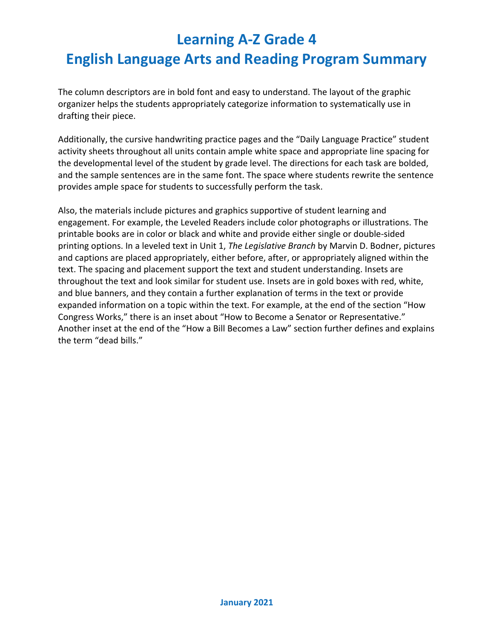The column descriptors are in bold font and easy to understand. The layout of the graphic organizer helps the students appropriately categorize information to systematically use in drafting their piece.

Additionally, the cursive handwriting practice pages and the "Daily Language Practice" student activity sheets throughout all units contain ample white space and appropriate line spacing for the developmental level of the student by grade level. The directions for each task are bolded, and the sample sentences are in the same font. The space where students rewrite the sentence provides ample space for students to successfully perform the task.

Also, the materials include pictures and graphics supportive of student learning and engagement. For example, the Leveled Readers include color photographs or illustrations. The printable books are in color or black and white and provide either single or double-sided printing options. In a leveled text in Unit 1, *The Legislative Branch* by Marvin D. Bodner, pictures and captions are placed appropriately, either before, after, or appropriately aligned within the text. The spacing and placement support the text and student understanding. Insets are throughout the text and look similar for student use. Insets are in gold boxes with red, white, and blue banners, and they contain a further explanation of terms in the text or provide expanded information on a topic within the text. For example, at the end of the section "How Congress Works," there is an inset about "How to Become a Senator or Representative." Another inset at the end of the "How a Bill Becomes a Law" section further defines and explains the term "dead bills."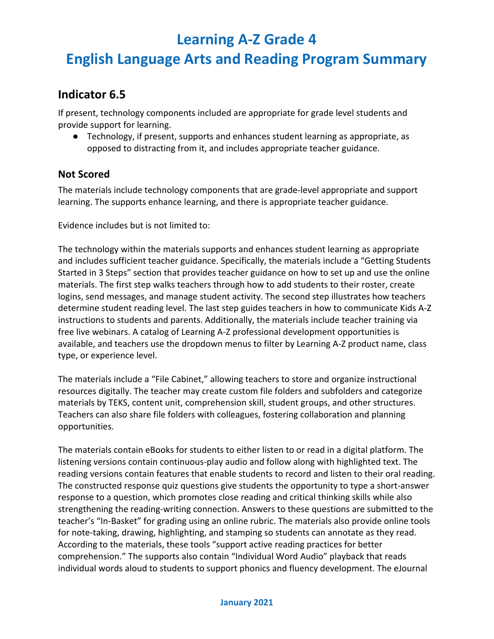## **English Language Arts and Reading Program Summary**

### **Indicator 6.5**

If present, technology components included are appropriate for grade level students and provide support for learning.

● Technology, if present, supports and enhances student learning as appropriate, as opposed to distracting from it, and includes appropriate teacher guidance.

#### **Not Scored**

The materials include technology components that are grade-level appropriate and support learning. The supports enhance learning, and there is appropriate teacher guidance.

Evidence includes but is not limited to:

The technology within the materials supports and enhances student learning as appropriate and includes sufficient teacher guidance. Specifically, the materials include a "Getting Students Started in 3 Steps" section that provides teacher guidance on how to set up and use the online materials. The first step walks teachers through how to add students to their roster, create logins, send messages, and manage student activity. The second step illustrates how teachers determine student reading level. The last step guides teachers in how to communicate Kids A-Z instructions to students and parents. Additionally, the materials include teacher training via free live webinars. A catalog of Learning A-Z professional development opportunities is available, and teachers use the dropdown menus to filter by Learning A-Z product name, class type, or experience level.

The materials include a "File Cabinet," allowing teachers to store and organize instructional resources digitally. The teacher may create custom file folders and subfolders and categorize materials by TEKS, content unit, comprehension skill, student groups, and other structures. Teachers can also share file folders with colleagues, fostering collaboration and planning opportunities.

The materials contain eBooks for students to either listen to or read in a digital platform. The listening versions contain continuous-play audio and follow along with highlighted text. The reading versions contain features that enable students to record and listen to their oral reading. The constructed response quiz questions give students the opportunity to type a short-answer response to a question, which promotes close reading and critical thinking skills while also strengthening the reading-writing connection. Answers to these questions are submitted to the teacher's "In-Basket" for grading using an online rubric. The materials also provide online tools for note-taking, drawing, highlighting, and stamping so students can annotate as they read. According to the materials, these tools "support active reading practices for better comprehension." The supports also contain "Individual Word Audio" playback that reads individual words aloud to students to support phonics and fluency development. The eJournal